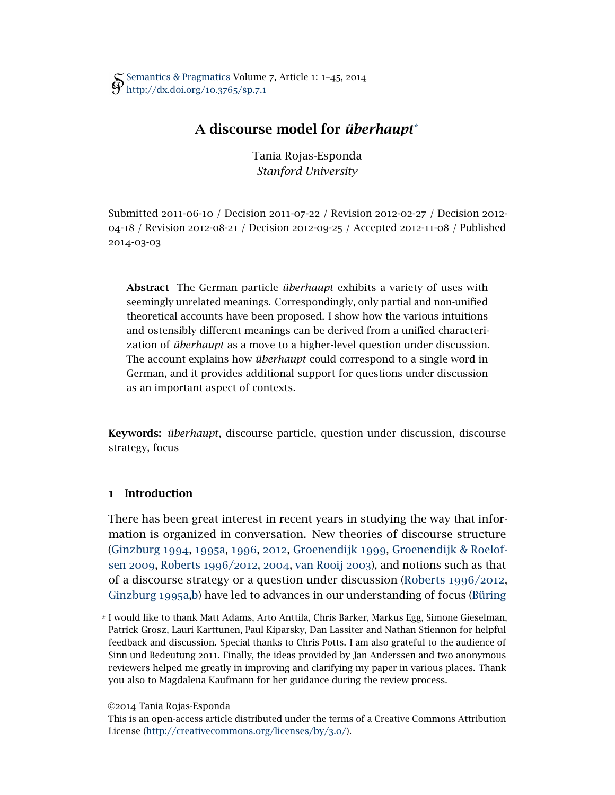Tania Rojas-Esponda *Stanford University*

Submitted 2011-06-10 */* Decision 2011-07-22 */* Revision 2012-02-27 */* Decision 2012- 04-18 */* Revision 2012-08-21 */* Decision 2012-09-25 */* Accepted 2012-11-08 */* Published 2014-03-03

Abstract The German particle *überhaupt* exhibits a variety of uses with seemingly unrelated meanings. Correspondingly, only partial and non-unified theoretical accounts have been proposed. I show how the various intuitions and ostensibly different meanings can be derived from a unified characterization of *überhaupt* as a move to a higher-level question under discussion. The account explains how *überhaupt* could correspond to a single word in German, and it provides additional support for questions under discussion as an important aspect of contexts.

Keywords: *überhaupt*, discourse particle, question under discussion, discourse strategy, focus

# 1 Introduction

There has been great interest in recent years in studying the way that information is organized in conversation. New theories of discourse structure [\(Ginzburg](#page-41-0) 1994, [1995](#page-41-1)a, [1996](#page-42-0), [2012](#page-42-1), [Groenendijk](#page-42-2) 1999, [Groenendijk & Roelof](#page-42-3)sen [2009](#page-42-3), [Roberts](#page-43-0) 1996/2012, [2004](#page-43-1), [van Rooij](#page-43-2) 2003), and notions such as that of a discourse strategy or a question under discussion [\(Roberts](#page-43-0) 1996/2012, [Ginzburg](#page-41-1) 1995a[,b\)](#page-42-4) have led to advances in our understanding of focus [\(Büring](#page-41-2)

©2014 Tania Rojas-Esponda

<sup>\*</sup> [I would like to thank Matt Adams, Arto Anttila, Chris Barker, Markus Egg, Simone Gieselman,](#page-41-2) [Patrick Grosz, Lauri Karttunen, Paul Kiparsky, Dan Lassiter and Nathan Stiennon for helpful](#page-41-2) [feedback and discussion. Special thanks to Chris Potts. I am also grateful to the audience of](#page-41-2) Sinn und Bedeutung 2011[. Finally, the ideas provided by Jan Anderssen and two anonymous](#page-41-2) [reviewers helped me greatly in improving and clarifying my paper in various places. Thank](#page-41-2) [you also to Magdalena Kaufmann for her guidance during the review process.](#page-41-2)

[This is an open-access article distributed under the terms of a Creative Commons Attribution](#page-41-2) License [\(http://creativecommons.org/licenses/by/](http://http://creativecommons.org/licenses/by/3.0/)3.0/).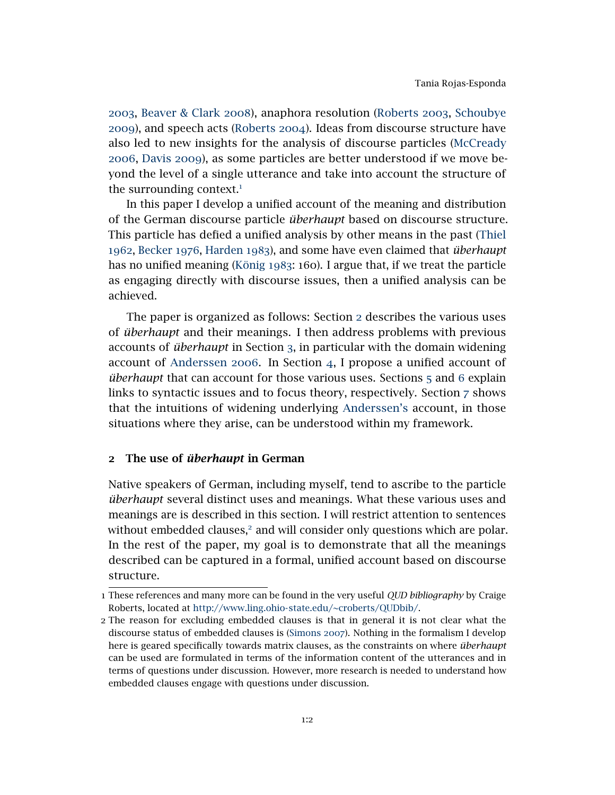[2003](#page-41-2), [Beaver & Clark](#page-41-3) 2008), anaphora resolution [\(Roberts](#page-43-3) 2003, [Schoubye](#page-43-4) [2009](#page-43-4)), and speech acts [\(Roberts](#page-43-1) 2004). Ideas from discourse structure have also led to new insights for the analysis of discourse particles [\(McCready](#page-43-5) [2006](#page-43-5), [Davis](#page-41-4) 2009), as some particles are better understood if we move beyond the level of a single utterance and take into account the structure of the surrounding context. $<sup>1</sup>$  $<sup>1</sup>$  $<sup>1</sup>$ </sup>

In this paper I develop a unified account of the meaning and distribution of the German discourse particle *überhaupt* based on discourse structure. This particle has defied a unified analysis by other means in the past [\(Thiel](#page-44-0) [1962](#page-44-0), [Becker](#page-41-5) 1976, [Harden](#page-42-5) 1983), and some have even claimed that *überhaupt* has no unified meaning [\(König](#page-42-6) 1983: 160). I argue that, if we treat the particle as engaging directly with discourse issues, then a unified analysis can be achieved.

The paper is organized as follows: Section [2](#page-1-1) describes the various uses of *überhaupt* and their meanings. I then address problems with previous accounts of *überhaupt* in Section [3](#page-11-0), in particular with the domain widening account of [Anderssen](#page-41-6) 2006. In Section [4](#page-15-0), I propose a unified account of *überhaupt* that can account for those various uses. Sections [5](#page-31-0) and [6](#page-35-0) explain links to syntactic issues and to focus theory, respectively. Section [7](#page-39-0) shows that the intuitions of widening underlying [Anderssen's](#page-41-6) account, in those situations where they arise, can be understood within my framework.

### <span id="page-1-1"></span>2 The use of *überhaupt* in German

Native speakers of German, including myself, tend to ascribe to the particle *überhaupt* several distinct uses and meanings. What these various uses and meanings are is described in this section. I will restrict attention to sentences without embedded clauses,<sup>[2](#page-1-2)</sup> and will consider only questions which are polar. In the rest of the paper, my goal is to demonstrate that all the meanings described can be captured in a formal, unified account based on discourse structure.

<span id="page-1-0"></span><sup>1</sup> These references and many more can be found in the very useful *QUD bibliography* by Craige Roberts, located at [http://www.ling.ohio-state.edu/~croberts/QUDbib/.](http://www.ling.ohio-state.edu/~croberts/QUDbib/)

<span id="page-1-2"></span><sup>2</sup> The reason for excluding embedded clauses is that in general it is not clear what the discourse status of embedded clauses is [\(Simons](#page-44-1) 2007). Nothing in the formalism I develop here is geared specifically towards matrix clauses, as the constraints on where *überhaupt* can be used are formulated in terms of the information content of the utterances and in terms of questions under discussion. However, more research is needed to understand how embedded clauses engage with questions under discussion.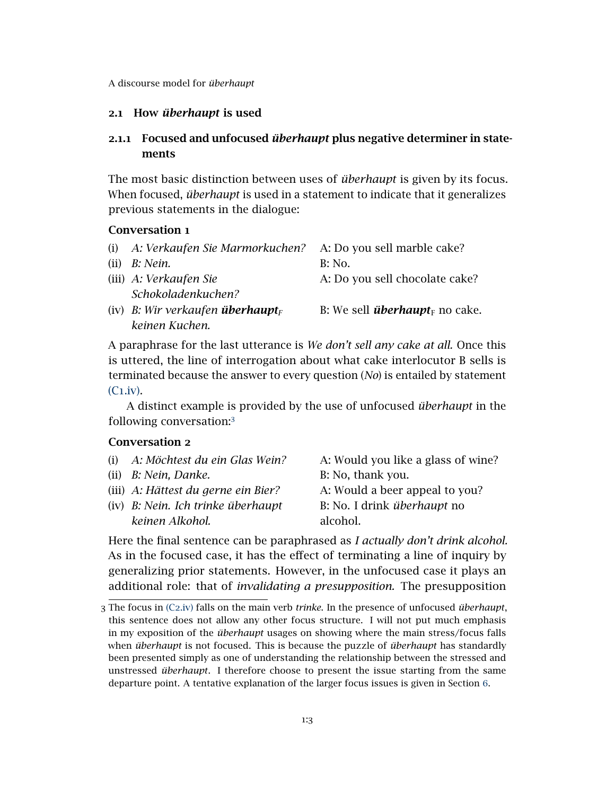# <span id="page-2-5"></span>2.1 How *überhaupt* is used

# 2.1.1 Focused and unfocused *überhaupt* plus negative determiner in statements

The most basic distinction between uses of *überhaupt* is given by its focus. When focused, *überhaupt* is used in a statement to indicate that it generalizes previous statements in the dialogue:

#### <span id="page-2-4"></span>Conversation 1

<span id="page-2-0"></span>

|      | (i) A: Verkaufen Sie Marmorkuchen? A: Do you sell marble cake? |                                                   |
|------|----------------------------------------------------------------|---------------------------------------------------|
| (ii) | B: Nein.                                                       | <b>B</b> : No.                                    |
|      | (iii) A: Verkaufen Sie                                         | A: Do you sell chocolate cake?                    |
|      | Schokoladenkuchen?                                             |                                                   |
|      | (iv) B: Wir verkaufen <b>überhaupt</b> <sub>F</sub>            | B: We sell <i>überhaupt</i> <sub>F</sub> no cake. |
|      | keinen Kuchen.                                                 |                                                   |

A paraphrase for the last utterance is *We don't sell any cake at all.* Once this is uttered, the line of interrogation about what cake interlocutor B sells is terminated because the answer to every question (*No*) is entailed by statement (C1[.iv\).](#page-2-0)

<span id="page-2-3"></span>A distinct example is provided by the use of unfocused *überhaupt* in the following conversation:[3](#page-2-1)

# Conversation 2

- (i) *A: Möchtest du ein Glas Wein?* A: Would you like a glass of wine?
	-
- (ii) *B: Nein, Danke.* B: No, thank you.
- <span id="page-2-2"></span>
- (iv) *B: Nein. Ich trinke überhaupt keinen Alkohol.*

(iii) *A: Hättest du gerne ein Bier?* A: Would a beer appeal to you? B: No. I drink *überhaupt* no alcohol.

Here the final sentence can be paraphrased as *I actually don't drink alcohol.* As in the focused case, it has the effect of terminating a line of inquiry by generalizing prior statements. However, in the unfocused case it plays an additional role: that of *invalidating a presupposition.* The presupposition

<span id="page-2-1"></span><sup>3</sup> The focus in (C2[.iv\)](#page-2-2) falls on the main verb *trinke*. In the presence of unfocused *überhaupt*, this sentence does not allow any other focus structure. I will not put much emphasis in my exposition of the *überhaupt* usages on showing where the main stress/focus falls when *überhaupt* is not focused. This is because the puzzle of *überhaupt* has standardly been presented simply as one of understanding the relationship between the stressed and unstressed *überhaupt*. I therefore choose to present the issue starting from the same departure point. A tentative explanation of the larger focus issues is given in Section [6](#page-35-0).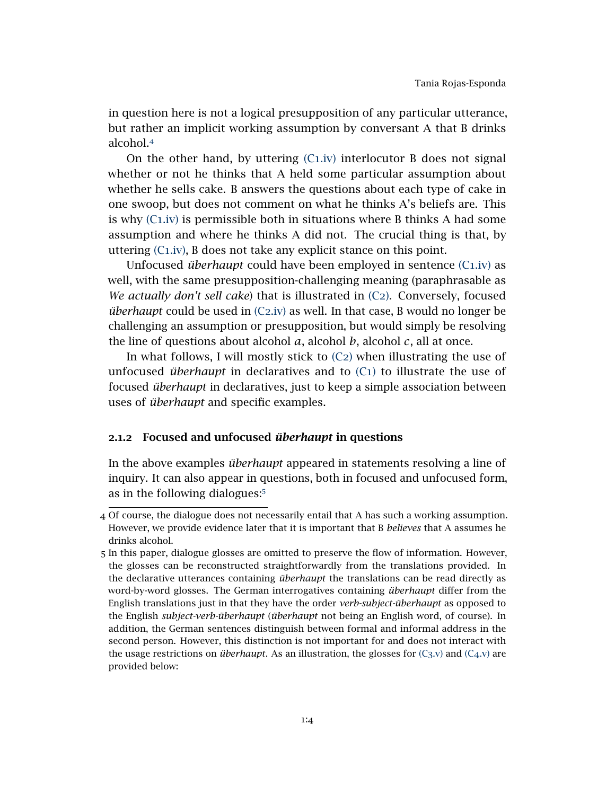in question here is not a logical presupposition of any particular utterance, but rather an implicit working assumption by conversant A that B drinks alcohol.[4](#page-3-0)

On the other hand, by uttering  $(C_1,iv)$  interlocutor B does not signal whether or not he thinks that A held some particular assumption about whether he sells cake. B answers the questions about each type of cake in one swoop, but does not comment on what he thinks A's beliefs are. This is why (C1[.iv\)](#page-2-0) is permissible both in situations where B thinks A had some assumption and where he thinks A did not. The crucial thing is that, by uttering (C1[.iv\),](#page-2-0) B does not take any explicit stance on this point.

Unfocused *überhaupt* could have been employed in sentence (C1[.iv\)](#page-2-0) as well, with the same presupposition-challenging meaning (paraphrasable as *We actually don't sell cake*) that is illustrated in [\(C](#page-2-3)2). Conversely, focused *überhaupt* could be used in (C2[.iv\)](#page-2-2) as well. In that case, B would no longer be challenging an assumption or presupposition, but would simply be resolving the line of questions about alcohol *a*, alcohol *b*, alcohol *c*, all at once.

In what follows, I will mostly stick to  $(C_2)$  $(C_2)$  when illustrating the use of unfocused *überhaupt* in declaratives and to [\(C](#page-2-4)1) to illustrate the use of focused *überhaupt* in declaratives, just to keep a simple association between uses of *überhaupt* and specific examples.

# 2.1.2 Focused and unfocused *überhaupt* in questions

<span id="page-3-2"></span>In the above examples *überhaupt* appeared in statements resolving a line of inquiry. It can also appear in questions, both in focused and unfocused form, as in the following dialogues:[5](#page-3-1)

<span id="page-3-0"></span><sup>4</sup> Of course, the dialogue does not necessarily entail that A has such a working assumption. However, we provide evidence later that it is important that B *believes* that A assumes he drinks alcohol.

<span id="page-3-1"></span><sup>5</sup> In this paper, dialogue glosses are omitted to preserve the flow of information. However, the glosses can be reconstructed straightforwardly from the translations provided. In the declarative utterances containing *überhaupt* the translations can be read directly as word-by-word glosses. The German interrogatives containing *überhaupt* differ from the English translations just in that they have the order *verb-subject-überhaupt* as opposed to the English *subject-verb-überhaupt* (*überhaupt* not being an English word, of course). In addition, the German sentences distinguish between formal and informal address in the second person. However, this distinction is not important for and does not interact with the usage restrictions on *überhaupt*. As an illustration, the glosses for  $(C_3 \nu)$  and  $(C_4 \nu)$  are provided below: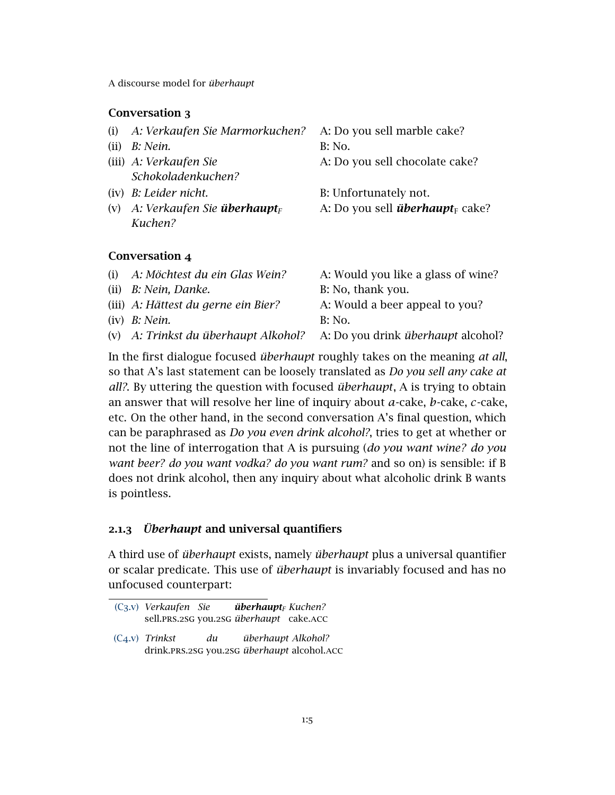# Conversation 3

<span id="page-4-0"></span>

| (i)  | A: Verkaufen Sie Marmorkuchen?                 | A: Do you sell marble cake?                        |
|------|------------------------------------------------|----------------------------------------------------|
| (ii) | B: Nein.                                       | B: No.                                             |
|      | (iii) A: Verkaufen Sie                         | A: Do you sell chocolate cake?                     |
|      | Schokoladenkuchen?                             |                                                    |
|      | (iv) B: Leider nicht.                          | B: Unfortunately not.                              |
| (V)  | A: Verkaufen Sie <b>überhaupt</b> <sub>F</sub> | A: Do you sell <i>überhaupt</i> <sub>F</sub> cake? |
|      | Kuchen?                                        |                                                    |

# <span id="page-4-3"></span>Conversation 4

| (i) A: Möchtest du ein Glas Wein?    | A: Would you like a glass of wine?        |
|--------------------------------------|-------------------------------------------|
| $(ii)$ B: Nein, Danke.               | B: No, thank you.                         |
| (iii) A: Hättest du gerne ein Bier?  | A: Would a beer appeal to you?            |
| $(iv)$ <i>B: Nein.</i>               | B: No.                                    |
| (v) A: Trinkst du überhaupt Alkohol? | A: Do you drink <i>überhaupt</i> alcohol? |

<span id="page-4-1"></span>In the first dialogue focused *überhaupt* roughly takes on the meaning *at all*, so that A's last statement can be loosely translated as *Do you sell any cake at all?*. By uttering the question with focused *überhaupt*, A is trying to obtain an answer that will resolve her line of inquiry about *a*-cake, *b*-cake, *c*-cake, etc. On the other hand, in the second conversation A's final question, which can be paraphrased as *Do you even drink alcohol?*, tries to get at whether or not the line of interrogation that A is pursuing (*do you want wine? do you want beer? do you want vodka? do you want rum?* and so on) is sensible: if B does not drink alcohol, then any inquiry about what alcoholic drink B wants is pointless.

# 2.1.3 *Überhaupt* and universal quantifiers

A third use of *überhaupt* exists, namely *überhaupt* plus a universal quantifier or scalar predicate. This use of *überhaupt* is invariably focused and has no unfocused counterpart:

<span id="page-4-2"></span><sup>(</sup>C3[.v\)](#page-4-0) *Verkaufen Sie* sell.prs.2sg you.2sg *überhaupt* cake.acc *überhaupt<sup>F</sup> Kuchen?*

<sup>(</sup>C4[.v\)](#page-4-1) *Trinkst* drink.prs.2sg you.2sg *überhaupt* alcohol.acc *du überhaupt Alkohol?*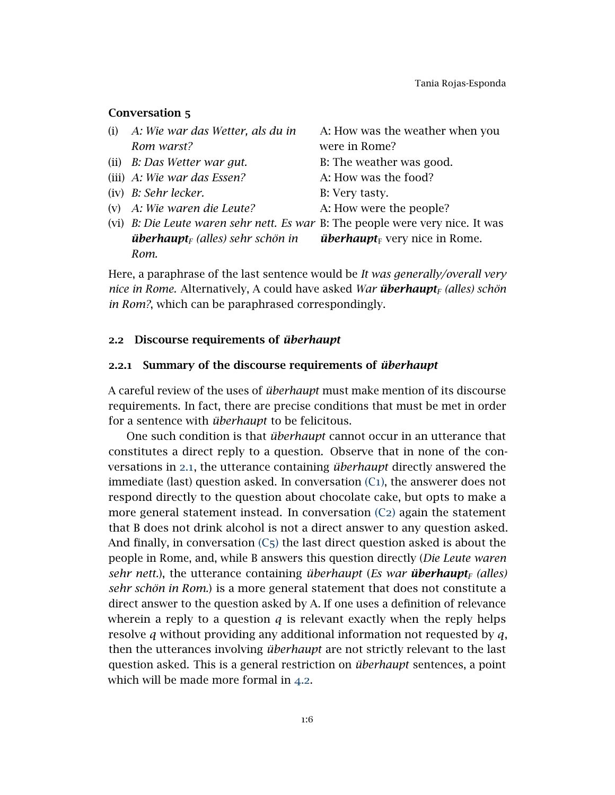# Conversation 5

- (i) *A: Wie war das Wetter, als du in Rom warst?*
- 
- (iii) *A: Wie war das Essen?* A: How was the food?
- (iv) *B: Sehr lecker.* B: Very tasty.
- 

A: How was the weather when you were in Rome?

- (ii) *B: Das Wetter war gut.* B: The weather was good.
	-
	-
- (v) *A: Wie waren die Leute?* A: How were the people?
- (vi) *B: Die Leute waren sehr nett. Es war* B: The people were very nice. It was *überhaupt<sup>F</sup> (alles) sehr schön in Rom. überhaupt* $_F$  very nice in Rome.

Here, a paraphrase of the last sentence would be *It was generally/overall very nice in Rome.* Alternatively, A could have asked *War überhaupt<sup>F</sup> (alles) schön in Rom?*, which can be paraphrased correspondingly.

### 2.2 Discourse requirements of *überhaupt*

#### <span id="page-5-0"></span>2.2.1 Summary of the discourse requirements of *überhaupt*

A careful review of the uses of *überhaupt* must make mention of its discourse requirements. In fact, there are precise conditions that must be met in order for a sentence with *überhaupt* to be felicitous.

One such condition is that *überhaupt* cannot occur in an utterance that constitutes a direct reply to a question. Observe that in none of the conversations in [2](#page-2-5).1, the utterance containing *überhaupt* directly answered the immediate (last) question asked. In conversation  $(C_1)$  $(C_1)$ , the answerer does not respond directly to the question about chocolate cake, but opts to make a more general statement instead. In conversation  $(C_2)$  $(C_2)$  again the statement that B does not drink alcohol is not a direct answer to any question asked. And finally, in conversation  $(C_5)$  $(C_5)$  the last direct question asked is about the people in Rome, and, while B answers this question directly (*Die Leute waren sehr nett.*), the utterance containing *überhaupt* (*Es war überhaupt<sup>F</sup> (alles) sehr schön in Rom.*) is a more general statement that does not constitute a direct answer to the question asked by A. If one uses a definition of relevance wherein a reply to a question *q* is relevant exactly when the reply helps resolve *q* without providing any additional information not requested by *q*, then the utterances involving *überhaupt* are not strictly relevant to the last question asked. This is a general restriction on *überhaupt* sentences, a point which will be made more formal in [4](#page-19-0).2.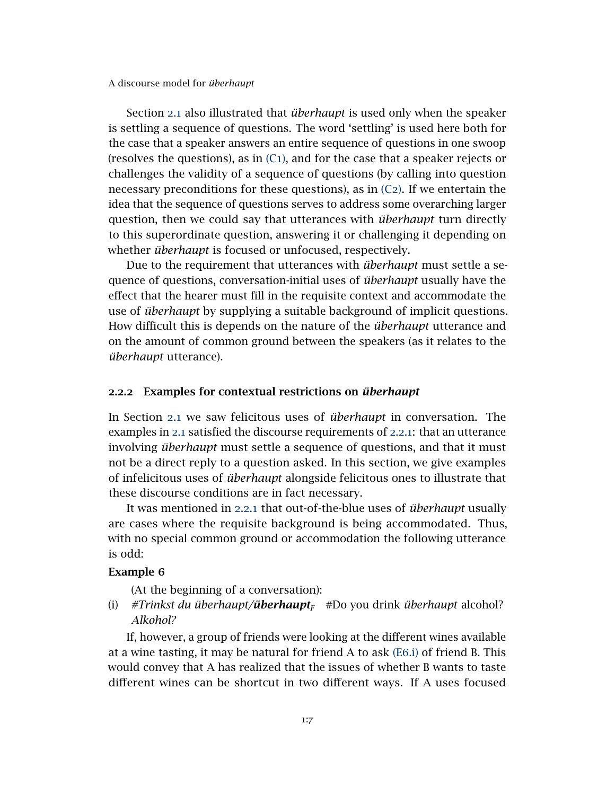Section [2](#page-2-5).1 also illustrated that *überhaupt* is used only when the speaker is settling a sequence of questions. The word 'settling' is used here both for the case that a speaker answers an entire sequence of questions in one swoop (resolves the questions), as in  $(C_1)$  $(C_1)$ , and for the case that a speaker rejects or challenges the validity of a sequence of questions (by calling into question necessary preconditions for these questions), as in  $(C_2)$  $(C_2)$ . If we entertain the idea that the sequence of questions serves to address some overarching larger question, then we could say that utterances with *überhaupt* turn directly to this superordinate question, answering it or challenging it depending on whether *überhaupt* is focused or unfocused, respectively.

Due to the requirement that utterances with *überhaupt* must settle a sequence of questions, conversation-initial uses of *überhaupt* usually have the effect that the hearer must fill in the requisite context and accommodate the use of *überhaupt* by supplying a suitable background of implicit questions. How difficult this is depends on the nature of the *überhaupt* utterance and on the amount of common ground between the speakers (as it relates to the *überhaupt* utterance).

# <span id="page-6-1"></span>2.2.2 Examples for contextual restrictions on *überhaupt*

In Section [2](#page-2-5).1 we saw felicitous uses of *überhaupt* in conversation. The examples in [2](#page-2-5).1 satisfied the discourse requirements of [2](#page-5-0).2.1: that an utterance involving *überhaupt* must settle a sequence of questions, and that it must not be a direct reply to a question asked. In this section, we give examples of infelicitous uses of *überhaupt* alongside felicitous ones to illustrate that these discourse conditions are in fact necessary.

It was mentioned in [2](#page-5-0).2.1 that out-of-the-blue uses of *überhaupt* usually are cases where the requisite background is being accommodated. Thus, with no special common ground or accommodation the following utterance is odd:

#### Example 6

<span id="page-6-0"></span>(At the beginning of a conversation):

(i) *#Trinkst du überhaupt/überhaupt<sup>F</sup>* #Do you drink *überhaupt* alcohol? *Alkohol?*

If, however, a group of friends were looking at the different wines available at a wine tasting, it may be natural for friend A to ask (E6[.i\)](#page-6-0) of friend B. This would convey that A has realized that the issues of whether B wants to taste different wines can be shortcut in two different ways. If A uses focused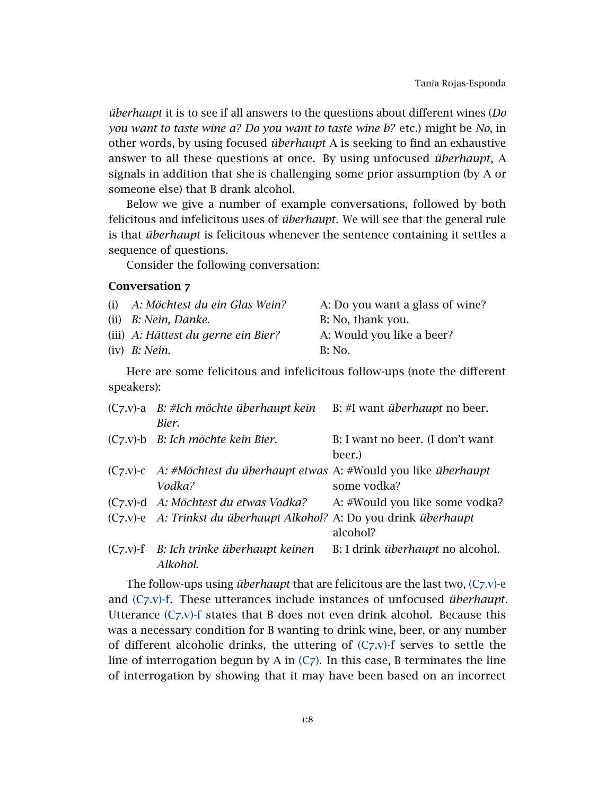*überhaupt* it is to see if all answers to the questions about different wines (*Do you want to taste wine a? Do you want to taste wine b?* etc.) might be *No*, in other words, by using focused *überhaupt* A is seeking to find an exhaustive answer to all these questions at once. By using unfocused *überhaupt*, A signals in addition that she is challenging some prior assumption (by A or someone else) that B drank alcohol.

Below we give a number of example conversations, followed by both felicitous and infelicitous uses of *überhaupt*. We will see that the general rule is that *überhaupt* is felicitous whenever the sentence containing it settles a sequence of questions.

<span id="page-7-2"></span>Consider the following conversation:

# Conversation 7

| (i) A: Möchtest du ein Glas Wein?   | A: Do you want a glass of wine? |
|-------------------------------------|---------------------------------|
| $(ii)$ B: Nein, Danke.              | B: No, thank you.               |
| (iii) A: Hättest du gerne ein Bier? | A: Would you like a beer?       |
| $(iv)$ <i>B: Nein.</i>              | B: No.                          |

<span id="page-7-4"></span>Here are some felicitous and infelicitous follow-ups (note the different speakers):

<span id="page-7-6"></span><span id="page-7-5"></span><span id="page-7-3"></span>

| $(C_7 \text{.} v)$ -a B: #Ich möchte überhaupt kein<br>Bier.                    | B: #I want <i>überhaupt</i> no beer.       |
|---------------------------------------------------------------------------------|--------------------------------------------|
| $(C_7 \, v)$ -b <i>B: Ich möchte kein Bier.</i>                                 | B: I want no beer. (I don't want<br>beer.) |
| (C7.v)-c A: #Möchtest du überhaupt etwas A: #Would you like überhaupt<br>Vodka? | some vodka?                                |
| (C7.v)-d A: Möchtest du etwas Vodka?                                            | A: #Would you like some vodka?             |
| (C7.v)-e A: Trinkst du überhaupt Alkohol? A: Do you drink überhaupt             | alcohol?                                   |
| $(C_7 \, v)$ -f B: Ich trinke überhaupt keinen<br>Alkohol.                      | B: I drink <i>überhaupt</i> no alcohol.    |

<span id="page-7-1"></span><span id="page-7-0"></span>The follow-ups using *überhaupt* that are felicitous are the last two, (C7[.v\)-e](#page-7-0) and (C7[.v\)-f.](#page-7-1) These utterances include instances of unfocused *überhaupt*. Utterance  $(C_7 \nu)$ -f states that B does not even drink alcohol. Because this was a necessary condition for B wanting to drink wine, beer, or any number of different alcoholic drinks, the uttering of  $(C_7 \, v)$ -f serves to settle the line of interrogation begun by A in  $(C_7)$  $(C_7)$ . In this case, B terminates the line of interrogation by showing that it may have been based on an incorrect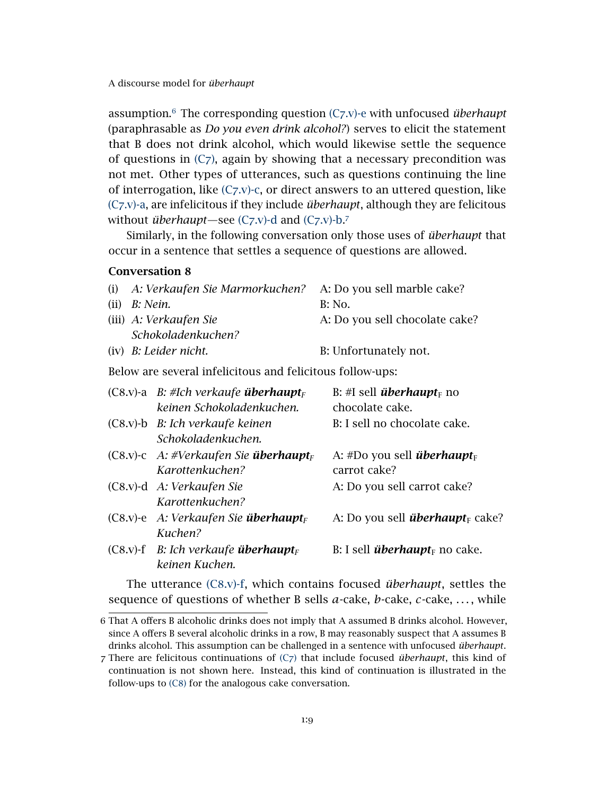assumption.[6](#page-8-0) The corresponding question (C7[.v\)-e](#page-7-0) with unfocused *überhaupt* (paraphrasable as *Do you even drink alcohol?*) serves to elicit the statement that B does not drink alcohol, which would likewise settle the sequence of questions in  $(C_7)$  $(C_7)$ , again by showing that a necessary precondition was not met. Other types of utterances, such as questions continuing the line of interrogation, like  $(C_7, v)$ -c, or direct answers to an uttered question, like (C7[.v\)-a,](#page-7-4) are infelicitous if they include *überhaupt*, although they are felicitous without *überhaupt*—see (C7[.v\)-d](#page-7-5) and (C7[.v\)-b.](#page-7-6)<sup>[7](#page-8-1)</sup>

Similarly, in the following conversation only those uses of *überhaupt* that occur in a sentence that settles a sequence of questions are allowed.

### <span id="page-8-3"></span>Conversation 8

| (i) A: Verkaufen Sie Marmorkuchen? A: Do you sell marble cake? |                                |
|----------------------------------------------------------------|--------------------------------|
| (ii) $B: N$ ein.                                               | <b>B</b> : No.                 |
| (iii) A: Verkaufen Sie                                         | A: Do you sell chocolate cake? |
| Schokoladenkuchen?                                             |                                |
| $(iv)$ B: Leider nicht.                                        | B: Unfortunately not.          |

<span id="page-8-6"></span>Below are several infelicitous and felicitous follow-ups:

<span id="page-8-5"></span><span id="page-8-4"></span>

| $(C8.v)$ -a B: #Ich verkaufe <b>überhaupt</b> <sub>F</sub>                    | B: #I sell <b><i>überhaupt</i></b> <sub>F</sub> no            |
|-------------------------------------------------------------------------------|---------------------------------------------------------------|
| keinen Schokoladenkuchen.                                                     | chocolate cake.                                               |
| $(C8 \text{ v})$ -b <i>B: Ich verkaufe keinen</i><br>Schokoladenkuchen.       | B: I sell no chocolate cake.                                  |
| $(C8.v)-c$ A: #Verkaufen Sie <b>überhaupt</b> <sub>F</sub><br>Karottenkuchen? | A: #Do you sell <i>überhaupt</i> <sub>F</sub><br>carrot cake? |
| $(C8.v)-d$ A: Verkaufen Sie<br>Karottenkuchen?                                | A: Do you sell carrot cake?                                   |
| $(C8.v)$ -e A: Verkaufen Sie überhaupt <sub>F</sub><br>Kuchen?                | A: Do you sell <i>überhaupt</i> <sub>F</sub> cake?            |
| $(C8.v)$ -f B: Ich verkaufe überhaupt <sub>F</sub><br>keinen Kuchen.          | B: I sell <i>überhaupt</i> $_{F}$ no cake.                    |

<span id="page-8-2"></span>The utterance (C8[.v\)-f,](#page-8-2) which contains focused *überhaupt*, settles the sequence of questions of whether B sells *a*-cake, *b*-cake, *c*-cake, . . . , while

<span id="page-8-0"></span><sup>6</sup> That A offers B alcoholic drinks does not imply that A assumed B drinks alcohol. However, since A offers B several alcoholic drinks in a row, B may reasonably suspect that A assumes B drinks alcohol. This assumption can be challenged in a sentence with unfocused *überhaupt*.

<span id="page-8-1"></span><sup>7</sup> There are felicitous continuations of [\(C](#page-7-2)7) that include focused *überhaupt*, this kind of continuation is not shown here. Instead, this kind of continuation is illustrated in the follow-ups to [\(C](#page-8-3)8) for the analogous cake conversation.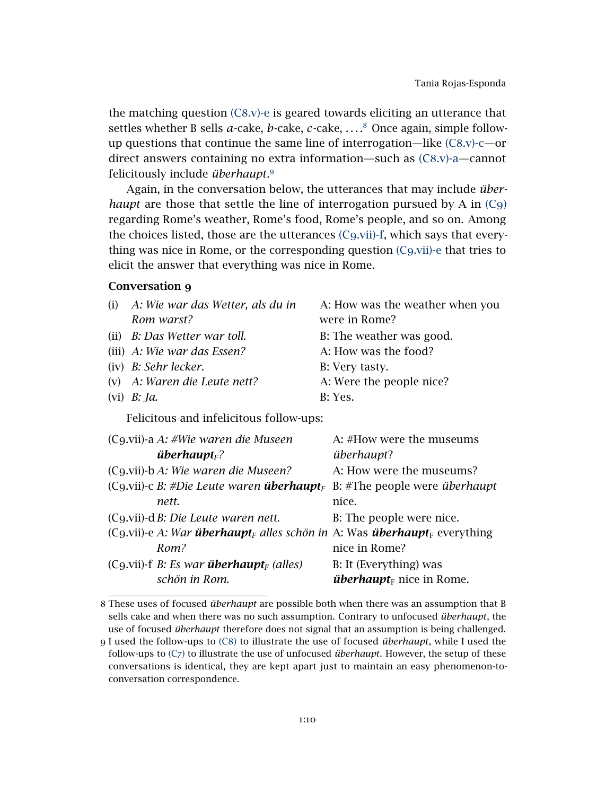the matching question  $(C8,y)$ -e is geared towards eliciting an utterance that settles whether B sells *a*-cake, *b*-cake, *c*-cake, ....<sup>[8](#page-9-0)</sup> Once again, simple followup questions that continue the same line of interrogation—like (C8[.v\)-c—](#page-8-5)or direct answers containing no extra information—such as (C8[.v\)-a—](#page-8-6)cannot felicitously include *überhaupt*. [9](#page-9-1)

Again, in the conversation below, the utterances that may include *überhaupt* are those that settle the line of interrogation pursued by A in [\(C](#page-9-2)9) regarding Rome's weather, Rome's food, Rome's people, and so on. Among the choices listed, those are the utterances (C9[.vii\)-f,](#page-9-3) which says that everything was nice in Rome, or the corresponding question (C9[.vii\)-e](#page-9-4) that tries to elicit the answer that everything was nice in Rome.

# <span id="page-9-2"></span>Conversation 9

| $(i)$ A: Wie war das Wetter, als du in  | A: How was the weather when you |
|-----------------------------------------|---------------------------------|
| Rom warst?                              | were in Rome?                   |
| (ii) B: Das Wetter war toll.            | B: The weather was good.        |
| (iii) $A$ : Wie war das Essen?          | A: How was the food?            |
| (iv) B: Sehr lecker.                    | B: Very tasty.                  |
| (v) A: Waren die Leute nett?            | A: Were the people nice?        |
| (vi) $B: Ja.$                           | B: Yes.                         |
| Pelisitana and infelisitana fallamentar |                                 |

<span id="page-9-4"></span><span id="page-9-3"></span>Felicitous and infelicitous follow-ups:

| $(Cg.vii)$ -a A: #Wie waren die Museen                                                           | A: #How were the museums            |
|--------------------------------------------------------------------------------------------------|-------------------------------------|
| $überhauptF$ ?                                                                                   | überhaupt?                          |
| (C9.vii)-b A: Wie waren die Museen?                                                              | A: How were the museums?            |
| $(Cg.vii)$ -c B: #Die Leute waren <b>überhaupt</b> <sub>F</sub> B: #The people were überhaupt    |                                     |
| nett.                                                                                            | nice.                               |
| (C9.vii)-d B: Die Leute waren nett.                                                              | B: The people were nice.            |
| (C9.vii)-e A: War überhaupt <sub>F</sub> alles schön in A: Was überhaupt <sub>F</sub> everything |                                     |
| Rom?                                                                                             | nice in Rome?                       |
| (C9.vii)-f <i>B: Es war <b>überhaupt</b><sub>F</sub> (alles)</i>                                 | B: It (Everything) was              |
| schön in Rom.                                                                                    | <i>überhaupt</i> $_F$ nice in Rome. |

<span id="page-9-0"></span><sup>8</sup> These uses of focused *überhaupt* are possible both when there was an assumption that B sells cake and when there was no such assumption. Contrary to unfocused *überhaupt*, the use of focused *überhaupt* therefore does not signal that an assumption is being challenged.

<span id="page-9-1"></span><sup>9</sup> I used the follow-ups to [\(C](#page-8-3)8) to illustrate the use of focused *überhaupt*, while I used the follow-ups to [\(C](#page-7-2)7) to illustrate the use of unfocused *überhaupt*. However, the setup of these conversations is identical, they are kept apart just to maintain an easy phenomenon-toconversation correspondence.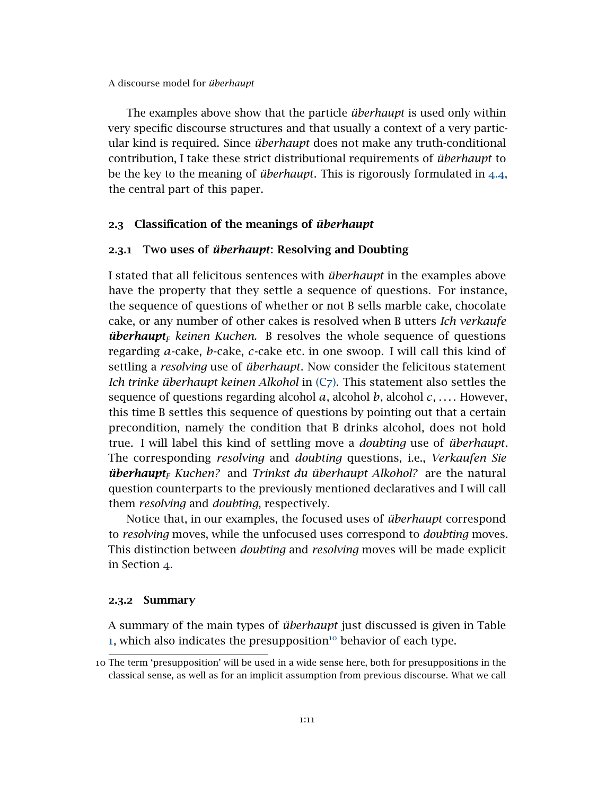The examples above show that the particle *überhaupt* is used only within very specific discourse structures and that usually a context of a very particular kind is required. Since *überhaupt* does not make any truth-conditional contribution, I take these strict distributional requirements of *überhaupt* to be the key to the meaning of *überhaupt*. This is rigorously formulated in [4](#page-27-0).4, the central part of this paper.

# 2.3 Classification of the meanings of *überhaupt*

# 2.3.1 Two uses of *überhaupt*: Resolving and Doubting

I stated that all felicitous sentences with *überhaupt* in the examples above have the property that they settle a sequence of questions. For instance, the sequence of questions of whether or not B sells marble cake, chocolate cake, or any number of other cakes is resolved when B utters *Ich verkaufe überhaupt<sup>F</sup> keinen Kuchen.* B resolves the whole sequence of questions regarding *a*-cake, *b*-cake, *c*-cake etc. in one swoop. I will call this kind of settling a *resolving* use of *überhaupt*. Now consider the felicitous statement *Ich trinke überhaupt keinen Alkohol* in [\(C](#page-7-2)7). This statement also settles the sequence of questions regarding alcohol  $a$ , alcohol  $b$ , alcohol  $c$ , .... However, this time B settles this sequence of questions by pointing out that a certain precondition, namely the condition that B drinks alcohol, does not hold true. I will label this kind of settling move a *doubting* use of *überhaupt*. The corresponding *resolving* and *doubting* questions, i.e., *Verkaufen Sie überhaupt<sup>F</sup> Kuchen?* and *Trinkst du überhaupt Alkohol?* are the natural question counterparts to the previously mentioned declaratives and I will call them *resolving* and *doubting*, respectively.

Notice that, in our examples, the focused uses of *überhaupt* correspond to *resolving* moves, while the unfocused uses correspond to *doubting* moves. This distinction between *doubting* and *resolving* moves will be made explicit in Section  $\Delta$ .

### 2.3.2 Summary

A summary of the main types of *überhaupt* just discussed is given in Table [1](#page-11-1), which also indicates the presupposition $10$  behavior of each type.

<span id="page-10-0"></span><sup>10</sup> The term 'presupposition' will be used in a wide sense here, both for presuppositions in the classical sense, as well as for an implicit assumption from previous discourse. What we call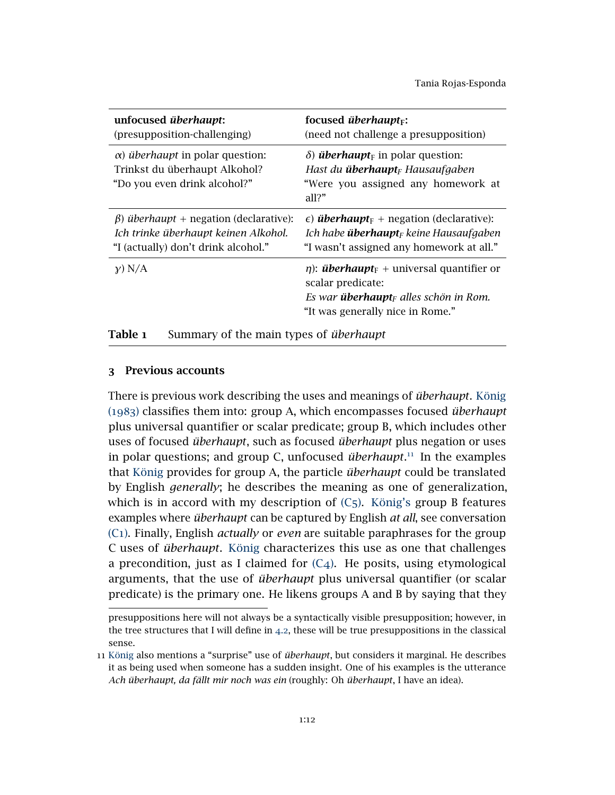| unfocused überhaupt:<br>(presupposition-challenging)                                                                                | focused <i>überhaupt</i> $F$ :<br>(need not challenge a presupposition)                                                                                                               |
|-------------------------------------------------------------------------------------------------------------------------------------|---------------------------------------------------------------------------------------------------------------------------------------------------------------------------------------|
| $\alpha$ ) überhaupt in polar question:<br>Trinkst du überhaupt Alkohol?<br>"Do you even drink alcohol?"                            | $\delta$ ) <i>überhaupt</i> <sub>F</sub> in polar question:<br>Hast du <b>überhaupt</b> <sub>F</sub> Hausaufgaben<br>"Were you assigned any homework at<br>all?"                      |
| $\beta$ ) <i>überhaupt</i> + negation (declarative):<br>Ich trinke überhaupt keinen Alkohol.<br>"I (actually) don't drink alcohol." | $\epsilon$ ) <b><i>überhaupt</i></b> <sub>F</sub> + negation (declarative):<br>Ich habe <b>überhaupt</b> <sub>F</sub> keine Hausaufgaben<br>"I wasn't assigned any homework at all."  |
| $\chi$ ) N/A                                                                                                                        | $\eta$ : <i>überhaupt</i> <sub>F</sub> + universal quantifier or<br>scalar predicate:<br>Es war <b>überhaupt</b> <sub>F</sub> alles schön in Rom.<br>"It was generally nice in Rome." |
| Summary of the main types of <i>überhaupt</i><br>Table 1                                                                            |                                                                                                                                                                                       |

### <span id="page-11-1"></span><span id="page-11-0"></span>3 Previous accounts

There is previous work describing the uses and meanings of *überhaupt*. [König](#page-42-6) ([1983](#page-42-6)) classifies them into: group A, which encompasses focused *überhaupt* plus universal quantifier or scalar predicate; group B, which includes other uses of focused *überhaupt*, such as focused *überhaupt* plus negation or uses in polar questions; and group C, unfocused *überhaupt*. [11](#page-11-2) In the examples that [König](#page-42-6) provides for group A, the particle *überhaupt* could be translated by English *generally*; he describes the meaning as one of generalization, which is in accord with my description of  $(C_5)$  $(C_5)$ . [König's](#page-42-6) group B features examples where *überhaupt* can be captured by English *at all*, see conversation [\(C](#page-2-4)1). Finally, English *actually* or *even* are suitable paraphrases for the group C uses of *überhaupt*. [König](#page-42-6) characterizes this use as one that challenges a precondition, just as I claimed for  $(C_4)$  $(C_4)$ . He posits, using etymological arguments, that the use of *überhaupt* plus universal quantifier (or scalar predicate) is the primary one. He likens groups A and B by saying that they

presuppositions here will not always be a syntactically visible presupposition; however, in the tree structures that I will define in [4](#page-19-0).2, these will be true presuppositions in the classical sense.

<span id="page-11-2"></span><sup>11</sup> [König](#page-42-6) also mentions a "surprise" use of *überhaupt*, but considers it marginal. He describes it as being used when someone has a sudden insight. One of his examples is the utterance *Ach überhaupt, da fällt mir noch was ein* (roughly: Oh *überhaupt*, I have an idea).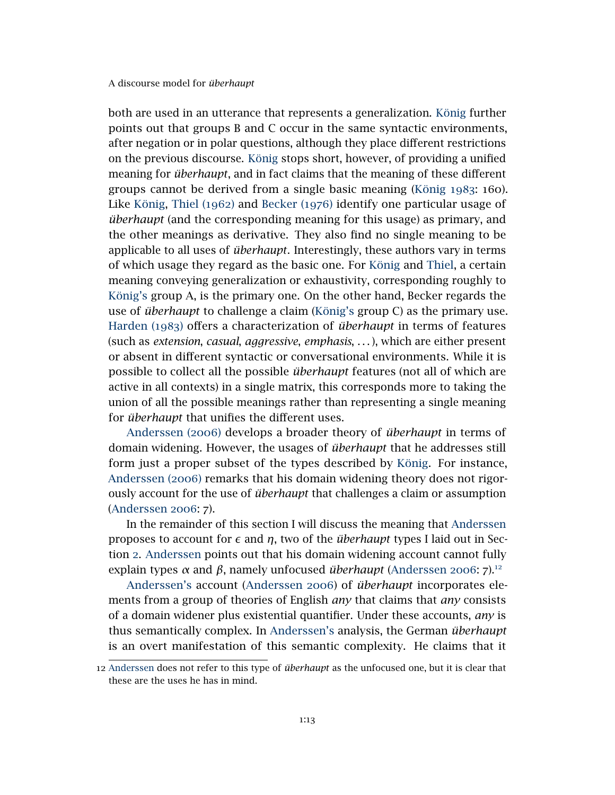both are used in an utterance that represents a generalization. [König](#page-42-6) further points out that groups B and C occur in the same syntactic environments, after negation or in polar questions, although they place different restrictions on the previous discourse. [König](#page-42-6) stops short, however, of providing a unified meaning for *überhaupt*, and in fact claims that the meaning of these different groups cannot be derived from a single basic meaning [\(König](#page-42-6) 1983: 160). Like [König,](#page-42-6) [Thiel \(](#page-44-0)1962) and [Becker \(](#page-41-5)1976) identify one particular usage of *überhaupt* (and the corresponding meaning for this usage) as primary, and the other meanings as derivative. They also find no single meaning to be applicable to all uses of *überhaupt*. Interestingly, these authors vary in terms of which usage they regard as the basic one. For [König](#page-42-6) and [Thiel,](#page-44-0) a certain meaning conveying generalization or exhaustivity, corresponding roughly to [König's](#page-42-6) group A, is the primary one. On the other hand, Becker regards the use of *überhaupt* to challenge a claim [\(König's](#page-42-6) group C) as the primary use. [Harden \(](#page-42-5)1983) offers a characterization of *überhaupt* in terms of features (such as *extension*, *casual*, *aggressive*, *emphasis*, . . . ), which are either present or absent in different syntactic or conversational environments. While it is possible to collect all the possible *überhaupt* features (not all of which are active in all contexts) in a single matrix, this corresponds more to taking the union of all the possible meanings rather than representing a single meaning for *überhaupt* that unifies the different uses.

[Anderssen \(](#page-41-6)2006) develops a broader theory of *überhaupt* in terms of domain widening. However, the usages of *überhaupt* that he addresses still form just a proper subset of the types described by [König.](#page-42-6) For instance, [Anderssen \(](#page-41-6)2006) remarks that his domain widening theory does not rigorously account for the use of *überhaupt* that challenges a claim or assumption [\(Anderssen](#page-41-6) 2006: 7).

In the remainder of this section I will discuss the meaning that [Anderssen](#page-41-6) proposes to account for  $\epsilon$  and  $\eta$ , two of the *überhaupt* types I laid out in Section [2](#page-1-1). [Anderssen](#page-41-6) points out that his domain widening account cannot fully explain types  $\alpha$  and  $\beta$ , namely unfocused *überhaupt* [\(Anderssen](#page-41-6) 2006: 7).<sup>[12](#page-12-0)</sup>

[Anderssen's](#page-41-6) account [\(Anderssen](#page-41-6) 2006) of *überhaupt* incorporates elements from a group of theories of English *any* that claims that *any* consists of a domain widener plus existential quantifier. Under these accounts, *any* is thus semantically complex. In [Anderssen's](#page-41-6) analysis, the German *überhaupt* is an overt manifestation of this semantic complexity. He claims that it

<span id="page-12-0"></span><sup>12</sup> [Anderssen](#page-41-6) does not refer to this type of *überhaupt* as the unfocused one, but it is clear that these are the uses he has in mind.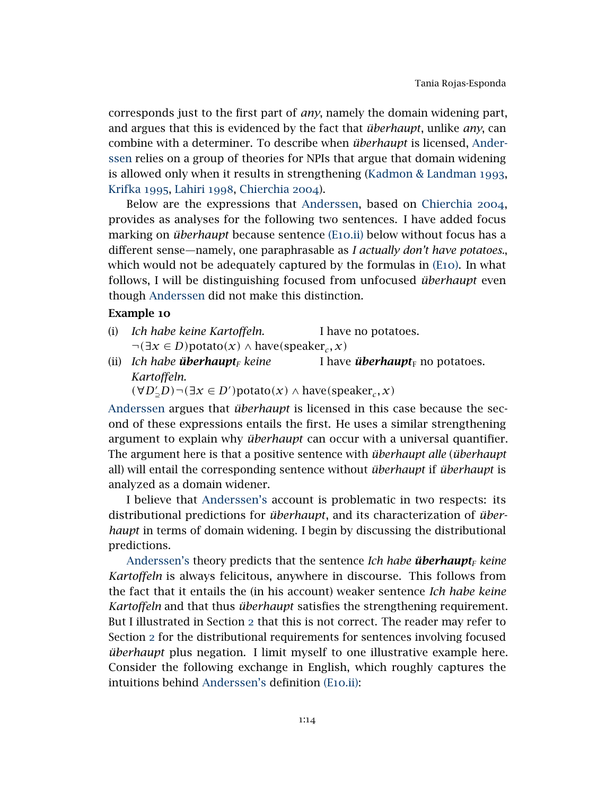corresponds just to the first part of *any*, namely the domain widening part, and argues that this is evidenced by the fact that *überhaupt*, unlike *any*, can combine with a determiner. To describe when *überhaupt* is licensed, [Ander](#page-41-6)[ssen](#page-41-6) relies on a group of theories for NPIs that argue that domain widening is allowed only when it results in strengthening [\(Kadmon & Landman](#page-42-7) 1993, [Krifka](#page-43-6) 1995, [Lahiri](#page-43-7) 1998, [Chierchia](#page-41-7) 2004).

Below are the expressions that [Anderssen,](#page-41-6) based on [Chierchia](#page-41-7) 2004, provides as analyses for the following two sentences. I have added focus marking on *überhaupt* because sentence (E10[.ii\)](#page-13-0) below without focus has a different sense—namely, one paraphrasable as *I actually don't have potatoes.*, which would not be adequately captured by the formulas in (E[10](#page-13-1)). In what follows, I will be distinguishing focused from unfocused *überhaupt* even though [Anderssen](#page-41-6) did not make this distinction.

### Example 10

- (i) *Ich habe keine Kartoffeln.* I have no potatoes.  $\neg$ (∃*x* ∈ *D*) $p$ otato $(x)$  ∧ have $(p$ eaker<sub>*c*</sub>, *x*)
- (ii) *Ich habe überhaupt<sup>F</sup> keine Kartoffeln.* I have *überhaupt*<sub>F</sub> no potatoes.

<span id="page-13-1"></span><span id="page-13-0"></span>
$$
(\forall D'_{\exists}D) \neg (\exists x \in D')
$$
potato $(x) \land$  have $(\text{speaker}_c, x)$ 

[Anderssen](#page-41-6) argues that *überhaupt* is licensed in this case because the second of these expressions entails the first. He uses a similar strengthening argument to explain why *überhaupt* can occur with a universal quantifier. The argument here is that a positive sentence with *überhaupt alle* (*überhaupt* all) will entail the corresponding sentence without *überhaupt* if *überhaupt* is analyzed as a domain widener.

I believe that [Anderssen's](#page-41-6) account is problematic in two respects: its distributional predictions for *überhaupt*, and its characterization of *überhaupt* in terms of domain widening. I begin by discussing the distributional predictions.

[Anderssen's](#page-41-6) theory predicts that the sentence *Ich habe überhaupt<sup>F</sup> keine Kartoffeln* is always felicitous, anywhere in discourse. This follows from the fact that it entails the (in his account) weaker sentence *Ich habe keine Kartoffeln* and that thus *überhaupt* satisfies the strengthening requirement. But I illustrated in Section [2](#page-1-1) that this is not correct. The reader may refer to Section [2](#page-1-1) for the distributional requirements for sentences involving focused *überhaupt* plus negation. I limit myself to one illustrative example here. Consider the following exchange in English, which roughly captures the intuitions behind [Anderssen's](#page-41-6) definition (E10[.ii\):](#page-13-0)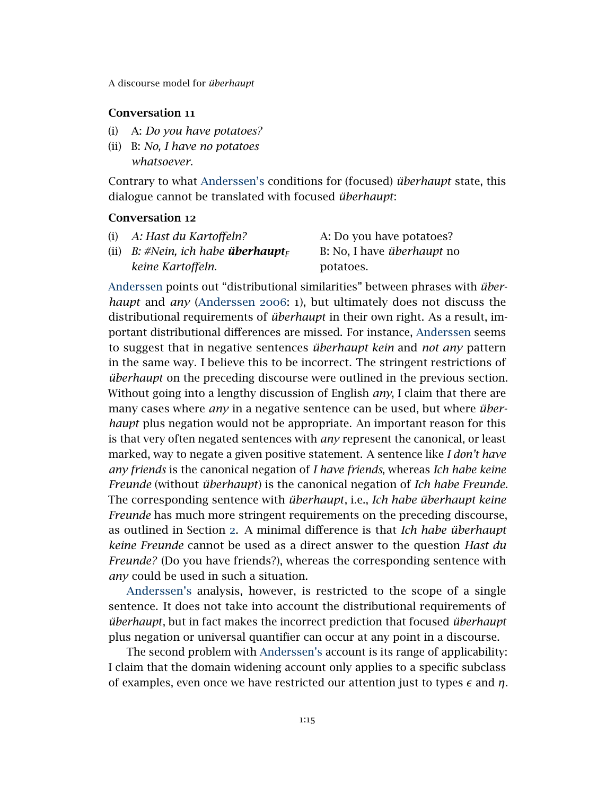# Conversation 11

- (i) A: *Do you have potatoes?*
- (ii) B: *No, I have no potatoes whatsoever.*

Contrary to what [Anderssen's](#page-41-6) conditions for (focused) *überhaupt* state, this dialogue cannot be translated with focused *überhaupt*:

# Conversation 12

(i) *A: Hast du Kartoffeln?* A: Do you have potatoes? (ii) *B:* #Nein, ich habe **überhaupt** $_F$ *keine Kartoffeln.* B: No, I have *überhaupt* no potatoes.

[Anderssen](#page-41-6) points out "distributional similarities" between phrases with *überhaupt* and *any* [\(Anderssen](#page-41-6) 2006: 1), but ultimately does not discuss the distributional requirements of *überhaupt* in their own right. As a result, important distributional differences are missed. For instance, [Anderssen](#page-41-6) seems to suggest that in negative sentences *überhaupt kein* and *not any* pattern in the same way. I believe this to be incorrect. The stringent restrictions of *überhaupt* on the preceding discourse were outlined in the previous section. Without going into a lengthy discussion of English *any*, I claim that there are many cases where *any* in a negative sentence can be used, but where *überhaupt* plus negation would not be appropriate. An important reason for this is that very often negated sentences with *any* represent the canonical, or least marked, way to negate a given positive statement. A sentence like *I don't have any friends* is the canonical negation of *I have friends*, whereas *Ich habe keine Freunde* (without *überhaupt*) is the canonical negation of *Ich habe Freunde*. The corresponding sentence with *überhaupt*, i.e., *Ich habe überhaupt keine Freunde* has much more stringent requirements on the preceding discourse, as outlined in Section [2](#page-1-1). A minimal difference is that *Ich habe überhaupt keine Freunde* cannot be used as a direct answer to the question *Hast du Freunde?* (Do you have friends?), whereas the corresponding sentence with *any* could be used in such a situation.

[Anderssen's](#page-41-6) analysis, however, is restricted to the scope of a single sentence. It does not take into account the distributional requirements of *überhaupt*, but in fact makes the incorrect prediction that focused *überhaupt* plus negation or universal quantifier can occur at any point in a discourse.

The second problem with [Anderssen's](#page-41-6) account is its range of applicability: I claim that the domain widening account only applies to a specific subclass of examples, even once we have restricted our attention just to types  $\epsilon$  and  $\eta$ .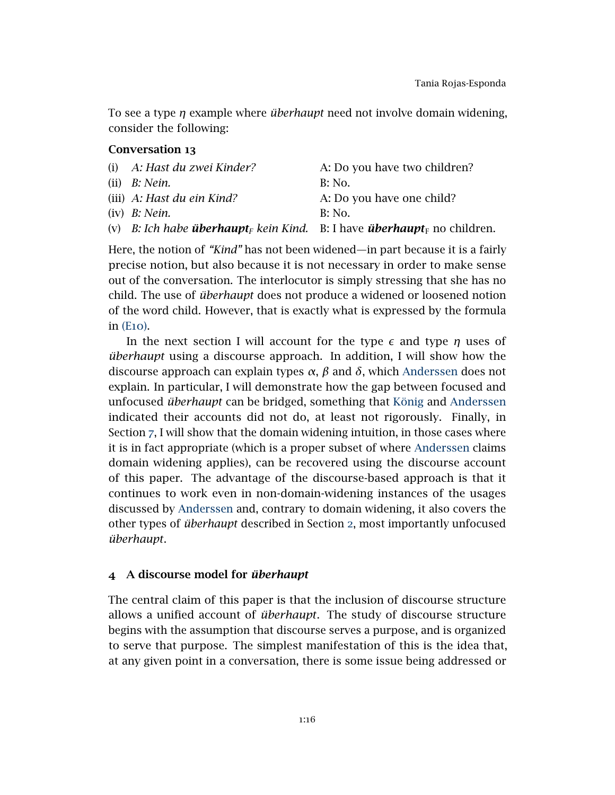<span id="page-15-1"></span>To see a type *η* example where *überhaupt* need not involve domain widening, consider the following:

# Conversation 13

| (i) A: Hast du zwei Kinder?                                                                     | A: Do you have two children? |
|-------------------------------------------------------------------------------------------------|------------------------------|
| (ii) $B: N$ ein.                                                                                | B: No.                       |
| (iii) A: Hast du ein Kind?                                                                      | A: Do you have one child?    |
| $(iv)$ <i>B: Nein.</i>                                                                          | <b>B</b> : No.               |
| (v) B: Ich habe überhaupt <sub>F</sub> kein Kind. B: I have überhaupt <sub>F</sub> no children. |                              |
|                                                                                                 |                              |

Here, the notion of *"Kind"* has not been widened—in part because it is a fairly precise notion, but also because it is not necessary in order to make sense out of the conversation. The interlocutor is simply stressing that she has no child. The use of *überhaupt* does not produce a widened or loosened notion of the word child. However, that is exactly what is expressed by the formula in (E[10](#page-13-1)).

In the next section I will account for the type  $\epsilon$  and type  $\eta$  uses of *überhaupt* using a discourse approach. In addition, I will show how the discourse approach can explain types *α*, *β* and *δ*, which [Anderssen](#page-41-6) does not explain. In particular, I will demonstrate how the gap between focused and unfocused *überhaupt* can be bridged, something that [König](#page-42-6) and [Anderssen](#page-41-6) indicated their accounts did not do, at least not rigorously. Finally, in Section [7](#page-39-0), I will show that the domain widening intuition, in those cases where it is in fact appropriate (which is a proper subset of where [Anderssen](#page-41-6) claims domain widening applies), can be recovered using the discourse account of this paper. The advantage of the discourse-based approach is that it continues to work even in non-domain-widening instances of the usages discussed by [Anderssen](#page-41-6) and, contrary to domain widening, it also covers the other types of *überhaupt* described in Section [2](#page-1-1), most importantly unfocused *überhaupt*.

### <span id="page-15-0"></span>4 A discourse model for *überhaupt*

The central claim of this paper is that the inclusion of discourse structure allows a unified account of *überhaupt*. The study of discourse structure begins with the assumption that discourse serves a purpose, and is organized to serve that purpose. The simplest manifestation of this is the idea that, at any given point in a conversation, there is some issue being addressed or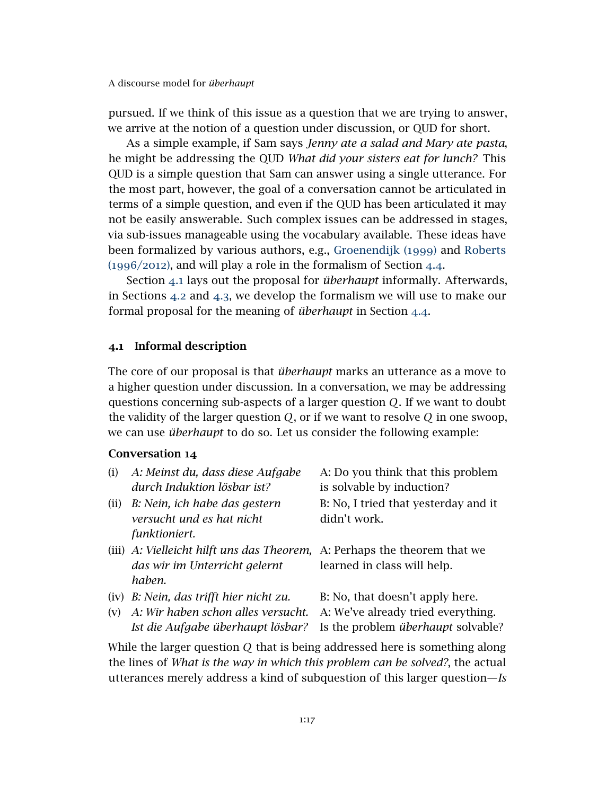pursued. If we think of this issue as a question that we are trying to answer, we arrive at the notion of a question under discussion, or QUD for short.

As a simple example, if Sam says *Jenny ate a salad and Mary ate pasta*, he might be addressing the QUD *What did your sisters eat for lunch?* This QUD is a simple question that Sam can answer using a single utterance. For the most part, however, the goal of a conversation cannot be articulated in terms of a simple question, and even if the QUD has been articulated it may not be easily answerable. Such complex issues can be addressed in stages, via sub-issues manageable using the vocabulary available. These ideas have been formalized by various authors, e.g., [Groenendijk \(](#page-42-2)1999) and [Roberts](#page-43-0) ([1996](#page-43-0)/2012), and will play a role in the formalism of Section [4](#page-27-0).4.

Section [4](#page-16-0).1 lays out the proposal for *überhaupt* informally. Afterwards, in Sections [4](#page-19-0).2 and [4](#page-23-0).3, we develop the formalism we will use to make our formal proposal for the meaning of *überhaupt* in Section [4](#page-27-0).4.

#### <span id="page-16-0"></span>4.1 Informal description

The core of our proposal is that *überhaupt* marks an utterance as a move to a higher question under discussion. In a conversation, we may be addressing questions concerning sub-aspects of a larger question *Q*. If we want to doubt the validity of the larger question *Q*, or if we want to resolve *Q* in one swoop, we can use *überhaupt* to do so. Let us consider the following example:

# Conversation 14

| (i)  | A: Meinst du, dass diese Aufgabe<br>durch Induktion lösbar ist?                                                      | A: Do you think that this problem<br>is solvable by induction?                                                     |
|------|----------------------------------------------------------------------------------------------------------------------|--------------------------------------------------------------------------------------------------------------------|
| (ii) | B: Nein, ich habe das gestern<br>versucht und es hat nicht<br>funktioniert.                                          | B: No, I tried that yesterday and it<br>didn't work.                                                               |
|      | (iii) A: Vielleicht hilft uns das Theorem, A: Perhaps the theorem that we<br>das wir im Unterricht gelernt<br>haben. | learned in class will help.                                                                                        |
| (v)  | (iv) B: Nein, das trifft hier nicht zu.<br>A: Wir haben schon alles versucht.<br>Ist die Aufgabe überhaupt lösbar?   | B: No, that doesn't apply here.<br>A: We've already tried everything.<br>Is the problem <i>überhaupt</i> solvable? |

While the larger question *Q* that is being addressed here is something along the lines of *What is the way in which this problem can be solved?*, the actual utterances merely address a kind of subquestion of this larger question—*Is*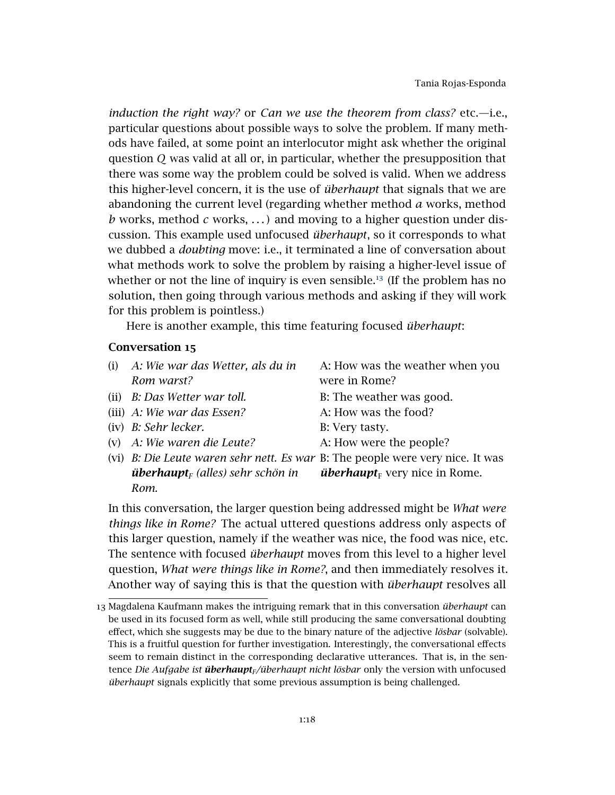*induction the right way?* or *Can we use the theorem from class?* etc.—i.e., particular questions about possible ways to solve the problem. If many methods have failed, at some point an interlocutor might ask whether the original question *Q* was valid at all or, in particular, whether the presupposition that there was some way the problem could be solved is valid. When we address this higher-level concern, it is the use of *überhaupt* that signals that we are abandoning the current level (regarding whether method *a* works, method *b* works, method *c* works, . . . ) and moving to a higher question under discussion. This example used unfocused *überhaupt*, so it corresponds to what we dubbed a *doubting* move: i.e., it terminated a line of conversation about what methods work to solve the problem by raising a higher-level issue of whether or not the line of inquiry is even sensible.<sup>[13](#page-17-0)</sup> (If the problem has no solution, then going through various methods and asking if they will work for this problem is pointless.)

Here is another example, this time featuring focused *überhaupt*:

# Conversation 15

- (i) *A: Wie war das Wetter, als du in Rom warst?*
- 
- (iii) *A: Wie war das Essen?* A: How was the food?
- (iv) *B: Sehr lecker.* B: Very tasty.
- (v) *A: Wie waren die Leute?* A: How were the people?

A: How was the weather when you were in Rome?

- (ii) *B: Das Wetter war toll.* B: The weather was good.
	-
	-
	-
- (vi) *B: Die Leute waren sehr nett. Es war* B: The people were very nice. It was *überhaupt<sup>F</sup> (alles) sehr schön in Rom. überhaupt* $_F$  very nice in Rome.

In this conversation, the larger question being addressed might be *What were things like in Rome?* The actual uttered questions address only aspects of this larger question, namely if the weather was nice, the food was nice, etc. The sentence with focused *überhaupt* moves from this level to a higher level question, *What were things like in Rome?*, and then immediately resolves it. Another way of saying this is that the question with *überhaupt* resolves all

<span id="page-17-0"></span><sup>13</sup> Magdalena Kaufmann makes the intriguing remark that in this conversation *überhaupt* can be used in its focused form as well, while still producing the same conversational doubting effect, which she suggests may be due to the binary nature of the adjective *lösbar* (solvable). This is a fruitful question for further investigation. Interestingly, the conversational effects seem to remain distinct in the corresponding declarative utterances. That is, in the sentence *Die Aufgabe ist überhauptF/überhaupt nicht lösbar* only the version with unfocused *überhaupt* signals explicitly that some previous assumption is being challenged.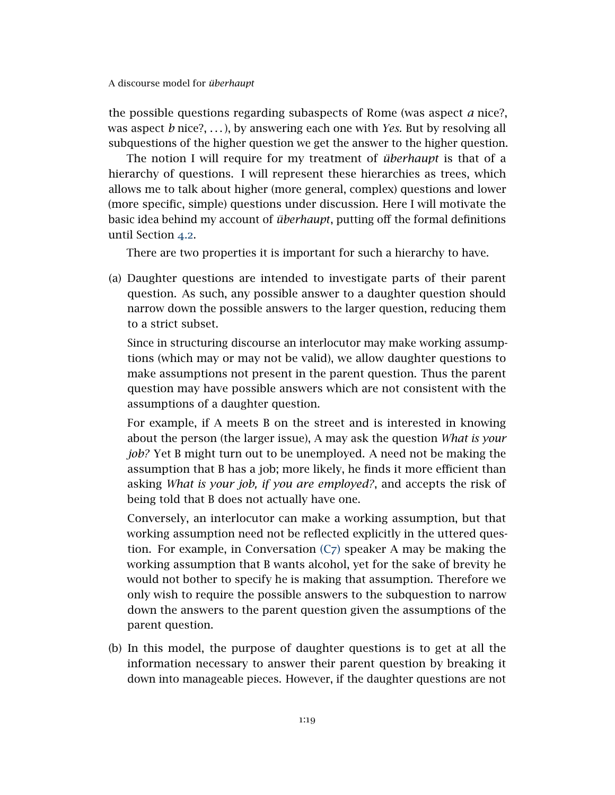the possible questions regarding subaspects of Rome (was aspect *a* nice?, was aspect *b* nice?, . . . ), by answering each one with *Yes.* But by resolving all subquestions of the higher question we get the answer to the higher question.

The notion I will require for my treatment of *überhaupt* is that of a hierarchy of questions. I will represent these hierarchies as trees, which allows me to talk about higher (more general, complex) questions and lower (more specific, simple) questions under discussion. Here I will motivate the basic idea behind my account of *überhaupt*, putting off the formal definitions until Section [4](#page-19-0).2.

There are two properties it is important for such a hierarchy to have.

(a) Daughter questions are intended to investigate parts of their parent question. As such, any possible answer to a daughter question should narrow down the possible answers to the larger question, reducing them to a strict subset.

Since in structuring discourse an interlocutor may make working assumptions (which may or may not be valid), we allow daughter questions to make assumptions not present in the parent question. Thus the parent question may have possible answers which are not consistent with the assumptions of a daughter question.

For example, if A meets B on the street and is interested in knowing about the person (the larger issue), A may ask the question *What is your job?* Yet B might turn out to be unemployed. A need not be making the assumption that B has a job; more likely, he finds it more efficient than asking *What is your job, if you are employed?*, and accepts the risk of being told that B does not actually have one.

Conversely, an interlocutor can make a working assumption, but that working assumption need not be reflected explicitly in the uttered question. For example, in Conversation  $(C_7)$  $(C_7)$  speaker A may be making the working assumption that B wants alcohol, yet for the sake of brevity he would not bother to specify he is making that assumption. Therefore we only wish to require the possible answers to the subquestion to narrow down the answers to the parent question given the assumptions of the parent question.

(b) In this model, the purpose of daughter questions is to get at all the information necessary to answer their parent question by breaking it down into manageable pieces. However, if the daughter questions are not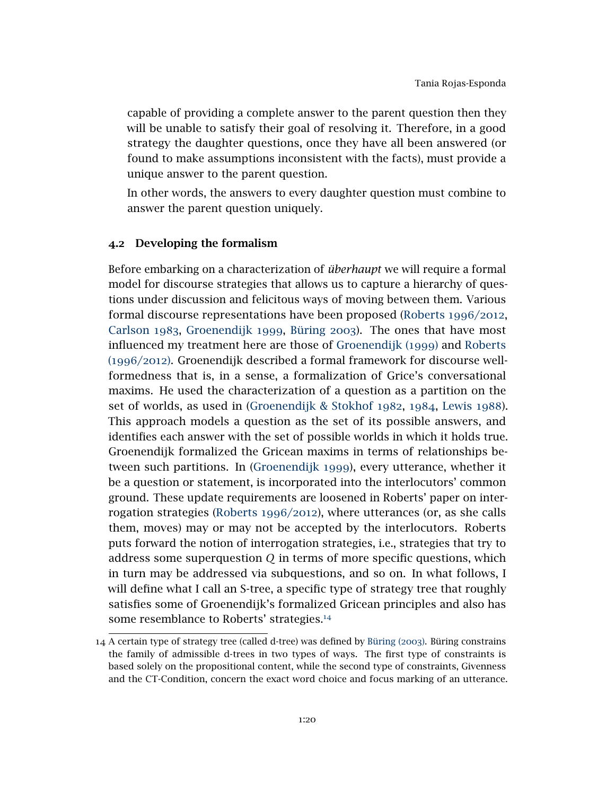capable of providing a complete answer to the parent question then they will be unable to satisfy their goal of resolving it. Therefore, in a good strategy the daughter questions, once they have all been answered (or found to make assumptions inconsistent with the facts), must provide a unique answer to the parent question.

In other words, the answers to every daughter question must combine to answer the parent question uniquely.

### <span id="page-19-0"></span>4.2 Developing the formalism

Before embarking on a characterization of *überhaupt* we will require a formal model for discourse strategies that allows us to capture a hierarchy of questions under discussion and felicitous ways of moving between them. Various formal discourse representations have been proposed [\(Roberts](#page-43-0) 1996/2012, [Carlson](#page-41-8) 1983, [Groenendijk](#page-42-2) 1999, [Büring](#page-41-2) 2003). The ones that have most influenced my treatment here are those of [Groenendijk \(](#page-42-2)1999) and [Roberts](#page-43-0) ([1996](#page-43-0)/2012). Groenendijk described a formal framework for discourse wellformedness that is, in a sense, a formalization of Grice's conversational maxims. He used the characterization of a question as a partition on the set of worlds, as used in [\(Groenendijk & Stokhof](#page-42-8) 1982, [1984](#page-42-9), [Lewis](#page-43-8) 1988). This approach models a question as the set of its possible answers, and identifies each answer with the set of possible worlds in which it holds true. Groenendijk formalized the Gricean maxims in terms of relationships between such partitions. In [\(Groenendijk](#page-42-2) 1999), every utterance, whether it be a question or statement, is incorporated into the interlocutors' common ground. These update requirements are loosened in Roberts' paper on interrogation strategies [\(Roberts](#page-43-0) 1996/2012), where utterances (or, as she calls them, moves) may or may not be accepted by the interlocutors. Roberts puts forward the notion of interrogation strategies, i.e., strategies that try to address some superquestion *Q* in terms of more specific questions, which in turn may be addressed via subquestions, and so on. In what follows, I will define what I call an S-tree, a specific type of strategy tree that roughly satisfies some of Groenendijk's formalized Gricean principles and also has some resemblance to Roberts' strategies.<sup>[14](#page-19-1)</sup>

<span id="page-19-1"></span><sup>14</sup> A certain type of strategy tree (called d-tree) was defined by [Büring \(](#page-41-2)2003). Büring constrains the family of admissible d-trees in two types of ways. The first type of constraints is based solely on the propositional content, while the second type of constraints, Givenness and the CT-Condition, concern the exact word choice and focus marking of an utterance.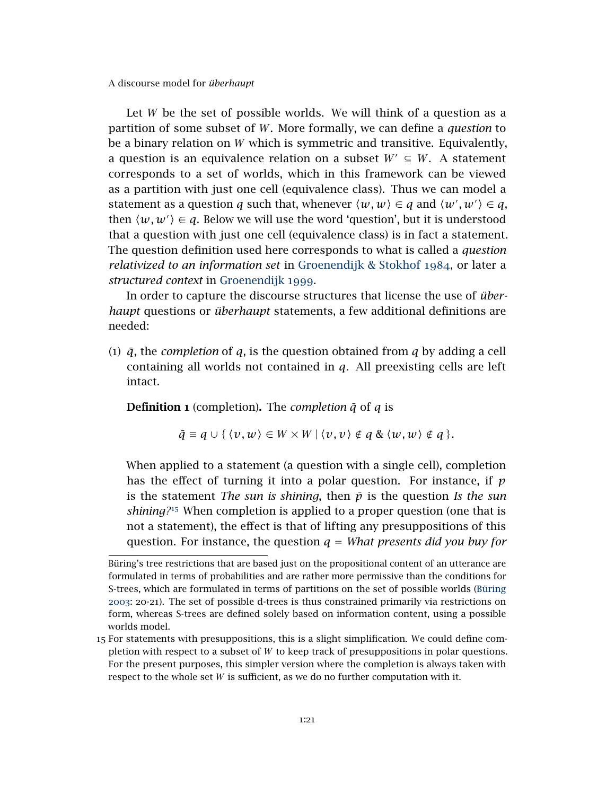Let *W* be the set of possible worlds. We will think of a question as a partition of some subset of *W*. More formally, we can define a *question* to be a binary relation on *W* which is symmetric and transitive. Equivalently, a question is an equivalence relation on a subset  $W' \subseteq W$ . A statement corresponds to a set of worlds, which in this framework can be viewed as a partition with just one cell (equivalence class). Thus we can model a statement as a question *q* such that, whenever  $\langle w, w \rangle \in q$  and  $\langle w', w' \rangle \in q$ , then  $\langle w, w' \rangle \in q$ . Below we will use the word 'question', but it is understood that a question with just one cell (equivalence class) is in fact a statement. The question definition used here corresponds to what is called a *question relativized to an information set* in [Groenendijk & Stokhof](#page-42-9) 1984, or later a *structured context* in [Groenendijk](#page-42-2) 1999.

In order to capture the discourse structures that license the use of *überhaupt* questions or *überhaupt* statements, a few additional definitions are needed:

(1)  $\bar{q}$ , the *completion* of  $q$ , is the question obtained from  $q$  by adding a cell containing all worlds not contained in *q*. All preexisting cells are left intact.

**Definition 1** (completion). The *completion*  $\bar{q}$  of  $q$  is

$$
\bar{q} \equiv q \cup \{ \langle v, w \rangle \in W \times W \mid \langle v, v \rangle \notin q \& \langle w, w \rangle \notin q \}.
$$

When applied to a statement (a question with a single cell), completion has the effect of turning it into a polar question. For instance, if *p* is the statement *The sun is shining*, then  $\bar{p}$  is the question *Is the sun shining?*[15](#page-20-0) When completion is applied to a proper question (one that is not a statement), the effect is that of lifting any presuppositions of this question. For instance, the question  $q = What$  presents did you buy for

Büring's tree restrictions that are based just on the propositional content of an utterance are formulated in terms of probabilities and are rather more permissive than the conditions for S-trees, which are formulated in terms of partitions on the set of possible worlds [\(Büring](#page-41-2) [2003](#page-41-2): 20-21). The set of possible d-trees is thus constrained primarily via restrictions on form, whereas S-trees are defined solely based on information content, using a possible worlds model.

<span id="page-20-0"></span><sup>15</sup> For statements with presuppositions, this is a slight simplification. We could define completion with respect to a subset of *W* to keep track of presuppositions in polar questions. For the present purposes, this simpler version where the completion is always taken with respect to the whole set *W* is sufficient, as we do no further computation with it.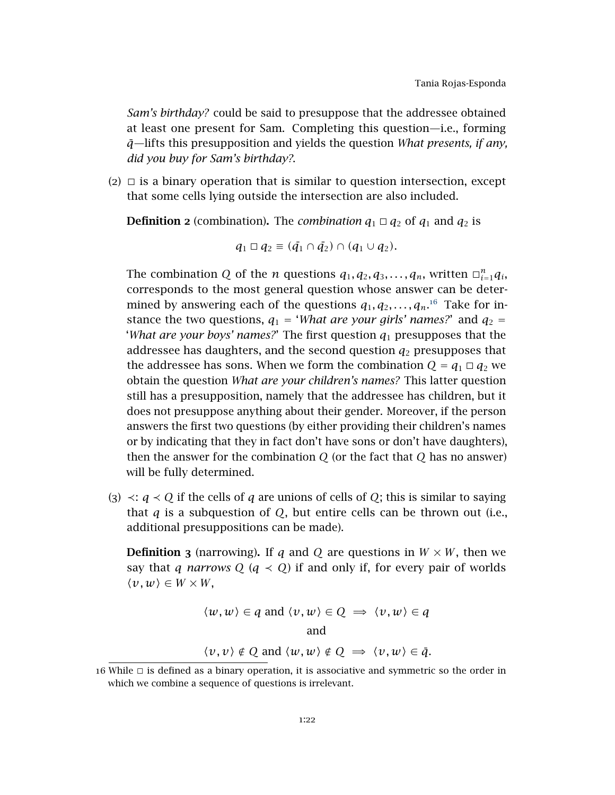*Sam's birthday?* could be said to presuppose that the addressee obtained at least one present for Sam. Completing this question—i.e., forming *q*¯—lifts this presupposition and yields the question *What presents, if any, did you buy for Sam's birthday?*.

 $(2)$   $\Box$  is a binary operation that is similar to question intersection, except that some cells lying outside the intersection are also included.

**Definition 2** (combination). The *combination*  $q_1 \square q_2$  of  $q_1$  and  $q_2$  is

$$
q_1 \square q_2 \equiv (\bar{q_1} \cap \bar{q_2}) \cap (q_1 \cup q_2).
$$

The combination *Q* of the *n* questions  $q_1, q_2, q_3, \ldots, q_n$ , written  $\Box_{i=1}^n q_i$ , corresponds to the most general question whose answer can be determined by answering each of the questions  $q_1, q_2, \ldots, q_n$ <sup>[16](#page-21-0)</sup> Take for instance the two questions,  $q_1$  = '*What are your girls' names?*' and  $q_2$  = '*What are your boys' names?*' The first question *q*<sup>1</sup> presupposes that the addressee has daughters, and the second question  $q_2$  presupposes that the addressee has sons. When we form the combination  $Q = q_1 \square q_2$  we obtain the question *What are your children's names?* This latter question still has a presupposition, namely that the addressee has children, but it does not presuppose anything about their gender. Moreover, if the person answers the first two questions (by either providing their children's names or by indicating that they in fact don't have sons or don't have daughters), then the answer for the combination *Q* (or the fact that *Q* has no answer) will be fully determined.

(3) ≺: *q* ≺ *Q* if the cells of *q* are unions of cells of *Q*; this is similar to saying that *q* is a subquestion of *Q*, but entire cells can be thrown out (i.e., additional presuppositions can be made).

**Definition 3** (narrowing). If *q* and *Q* are questions in  $W \times W$ , then we say that *q narrows*  $Q$  ( $q \lt Q$ ) if and only if, for every pair of worlds  $\langle v, w \rangle \in W \times W$ ,

$$
\langle w, w \rangle \in q \text{ and } \langle v, w \rangle \in Q \implies \langle v, w \rangle \in q
$$
  
and

 $\langle v, v \rangle \notin Q$  and  $\langle w, w \rangle \notin Q \implies \langle v, w \rangle \in \bar{q}$ .

<span id="page-21-0"></span> $16$  While  $\Box$  is defined as a binary operation, it is associative and symmetric so the order in which we combine a sequence of questions is irrelevant.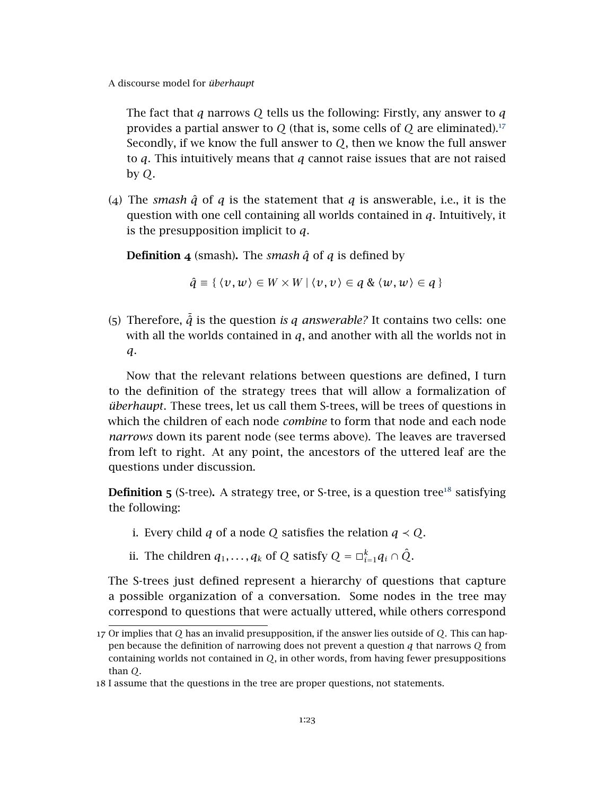The fact that *q* narrows *Q* tells us the following: Firstly, any answer to *q* provides a partial answer to *Q* (that is, some cells of *Q* are eliminated).[17](#page-22-0) Secondly, if we know the full answer to *Q*, then we know the full answer to *q*. This intuitively means that *q* cannot raise issues that are not raised by *Q*.

(4) The *smash*  $\hat{q}$  of  $q$  is the statement that  $q$  is answerable, i.e., it is the question with one cell containing all worlds contained in *q*. Intuitively, it is the presupposition implicit to *q*.

**Definition 4** (smash). The *smash*  $\hat{q}$  of  $q$  is defined by

$$
\hat{q} \equiv \{ \langle v, w \rangle \in W \times W \mid \langle v, v \rangle \in q \& \langle w, w \rangle \in q \}
$$

(5) Therefore,  $\tilde{q}$  is the question *is q answerable?* It contains two cells: one with all the worlds contained in *q*, and another with all the worlds not in *q*.

Now that the relevant relations between questions are defined, I turn to the definition of the strategy trees that will allow a formalization of *überhaupt*. These trees, let us call them S-trees, will be trees of questions in which the children of each node *combine* to form that node and each node *narrows* down its parent node (see terms above). The leaves are traversed from left to right. At any point, the ancestors of the uttered leaf are the questions under discussion.

**Definition 5** (S-tree). A strategy tree, or S-tree, is a question tree<sup>[18](#page-22-1)</sup> satisfying the following:

- i. Every child *q* of a node *Q* satisfies the relation  $q \prec Q$ .
- ii. The children  $q_1, \ldots, q_k$  of  $Q$  satisfy  $Q = \Box_{i=1}^k q_i \cap \hat{Q}$ .

The S-trees just defined represent a hierarchy of questions that capture a possible organization of a conversation. Some nodes in the tree may correspond to questions that were actually uttered, while others correspond

<span id="page-22-0"></span><sup>17</sup> Or implies that *Q* has an invalid presupposition, if the answer lies outside of *Q*. This can happen because the definition of narrowing does not prevent a question *q* that narrows *Q* from containing worlds not contained in *Q*, in other words, from having fewer presuppositions than *Q*.

<span id="page-22-1"></span><sup>18</sup> I assume that the questions in the tree are proper questions, not statements.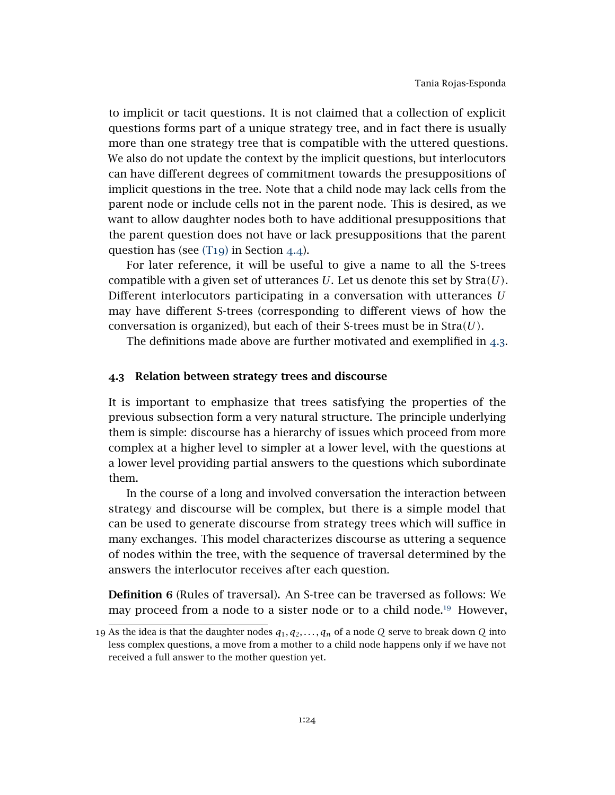to implicit or tacit questions. It is not claimed that a collection of explicit questions forms part of a unique strategy tree, and in fact there is usually more than one strategy tree that is compatible with the uttered questions. We also do not update the context by the implicit questions, but interlocutors can have different degrees of commitment towards the presuppositions of implicit questions in the tree. Note that a child node may lack cells from the parent node or include cells not in the parent node. This is desired, as we want to allow daughter nodes both to have additional presuppositions that the parent question does not have or lack presuppositions that the parent question has (see [\(T](#page-28-0)19) in Section [4](#page-27-0).4).

For later reference, it will be useful to give a name to all the S-trees compatible with a given set of utterances *U*. Let us denote this set by Stra*(U)*. Different interlocutors participating in a conversation with utterances *U* may have different S-trees (corresponding to different views of how the conversation is organized), but each of their S-trees must be in Stra*(U)*.

The definitions made above are further motivated and exemplified in [4](#page-23-0).3.

### <span id="page-23-0"></span>4.3 Relation between strategy trees and discourse

It is important to emphasize that trees satisfying the properties of the previous subsection form a very natural structure. The principle underlying them is simple: discourse has a hierarchy of issues which proceed from more complex at a higher level to simpler at a lower level, with the questions at a lower level providing partial answers to the questions which subordinate them.

In the course of a long and involved conversation the interaction between strategy and discourse will be complex, but there is a simple model that can be used to generate discourse from strategy trees which will suffice in many exchanges. This model characterizes discourse as uttering a sequence of nodes within the tree, with the sequence of traversal determined by the answers the interlocutor receives after each question.

Definition 6 (Rules of traversal). An S-tree can be traversed as follows: We may proceed from a node to a sister node or to a child node.<sup>[19](#page-23-1)</sup> However,

<span id="page-23-1"></span><sup>19</sup> As the idea is that the daughter nodes *q*1*, q*2*, . . . , q<sup>n</sup>* of a node *Q* serve to break down *Q* into less complex questions, a move from a mother to a child node happens only if we have not received a full answer to the mother question yet.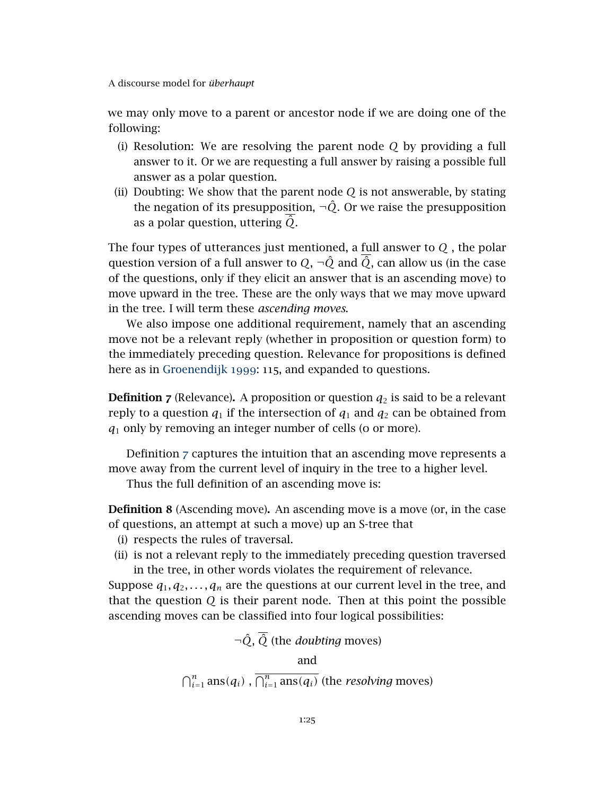we may only move to a parent or ancestor node if we are doing one of the following:

- (i) Resolution: We are resolving the parent node *Q* by providing a full answer to it. Or we are requesting a full answer by raising a possible full answer as a polar question.
- (ii) Doubting: We show that the parent node *Q* is not answerable, by stating the negation of its presupposition,  $\neg \hat{Q}$ . Or we raise the presupposition as a polar question, uttering  $\hat{Q}$ .

The four types of utterances just mentioned, a full answer to *Q* , the polar question version of a full answer to  $Q$ ,  $\neg \hat{Q}$  and  $\overline{\hat{Q}}$ , can allow us (in the case of the questions, only if they elicit an answer that is an ascending move) to move upward in the tree. These are the only ways that we may move upward in the tree. I will term these *ascending moves*.

We also impose one additional requirement, namely that an ascending move not be a relevant reply (whether in proposition or question form) to the immediately preceding question. Relevance for propositions is defined here as in [Groenendijk](#page-42-2) 1999: 115, and expanded to questions.

<span id="page-24-0"></span>**Definition 7** (Relevance). A proposition or question  $q_2$  is said to be a relevant reply to a question  $q_1$  if the intersection of  $q_1$  and  $q_2$  can be obtained from *q*<sup>1</sup> only by removing an integer number of cells (0 or more).

Definition [7](#page-24-0) captures the intuition that an ascending move represents a move away from the current level of inquiry in the tree to a higher level.

Thus the full definition of an ascending move is:

**Definition 8** (Ascending move). An ascending move is a move (or, in the case of questions, an attempt at such a move) up an S-tree that

- (i) respects the rules of traversal.
- (ii) is not a relevant reply to the immediately preceding question traversed in the tree, in other words violates the requirement of relevance.

Suppose  $q_1, q_2, \ldots, q_n$  are the questions at our current level in the tree, and that the question *Q* is their parent node. Then at this point the possible ascending moves can be classified into four logical possibilities:

$$
\neg \hat{Q}, \overline{\hat{Q}} \text{ (the doubting moves)}
$$
\nand\n
$$
\bigcap_{i=1}^{n} \text{ans}(q_i), \overline{\bigcap_{i=1}^{n} \text{ans}(q_i)} \text{ (the resolving moves)}
$$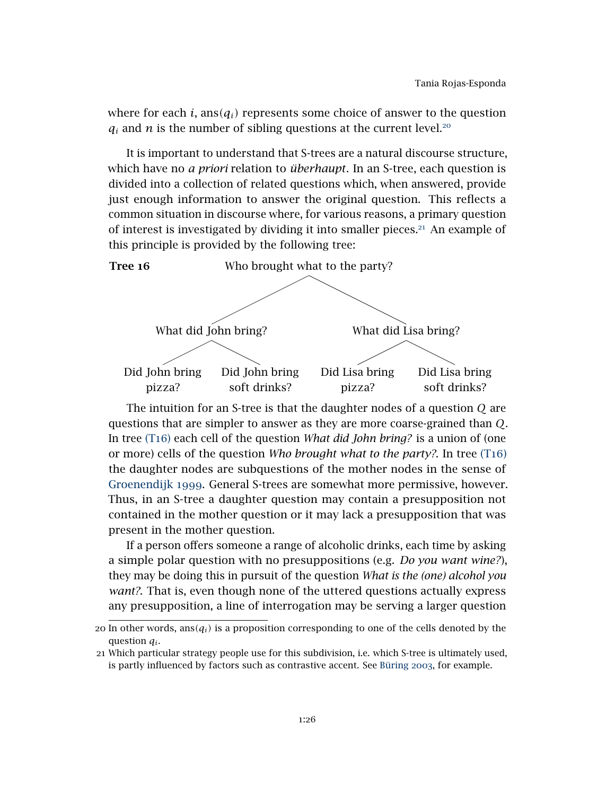where for each *i*, ans $(q_i)$  represents some choice of answer to the question  $q_i$  and *n* is the number of sibling questions at the current level.<sup>[20](#page-25-0)</sup>

It is important to understand that S-trees are a natural discourse structure, which have no *a priori* relation to *überhaupt*. In an S-tree, each question is divided into a collection of related questions which, when answered, provide just enough information to answer the original question. This reflects a common situation in discourse where, for various reasons, a primary question of interest is investigated by dividing it into smaller pieces.[21](#page-25-1) An example of this principle is provided by the following tree:

<span id="page-25-2"></span>

The intuition for an S-tree is that the daughter nodes of a question *Q* are questions that are simpler to answer as they are more coarse-grained than *Q*. In tree (T[16](#page-25-2)) each cell of the question *What did John bring?* is a union of (one or more) cells of the question *Who brought what to the party?*. In tree [\(T](#page-25-2)16) the daughter nodes are subquestions of the mother nodes in the sense of [Groenendijk](#page-42-2) 1999. General S-trees are somewhat more permissive, however. Thus, in an S-tree a daughter question may contain a presupposition not contained in the mother question or it may lack a presupposition that was present in the mother question.

If a person offers someone a range of alcoholic drinks, each time by asking a simple polar question with no presuppositions (e.g. *Do you want wine?*), they may be doing this in pursuit of the question *What is the (one) alcohol you want?*. That is, even though none of the uttered questions actually express any presupposition, a line of interrogation may be serving a larger question

<span id="page-25-0"></span><sup>20</sup> In other words,  $ans(q_i)$  is a proposition corresponding to one of the cells denoted by the question *q<sup>i</sup>* .

<span id="page-25-1"></span><sup>21</sup> Which particular strategy people use for this subdivision, i.e. which S-tree is ultimately used, is partly influenced by factors such as contrastive accent. See [Büring](#page-41-2) 2003, for example.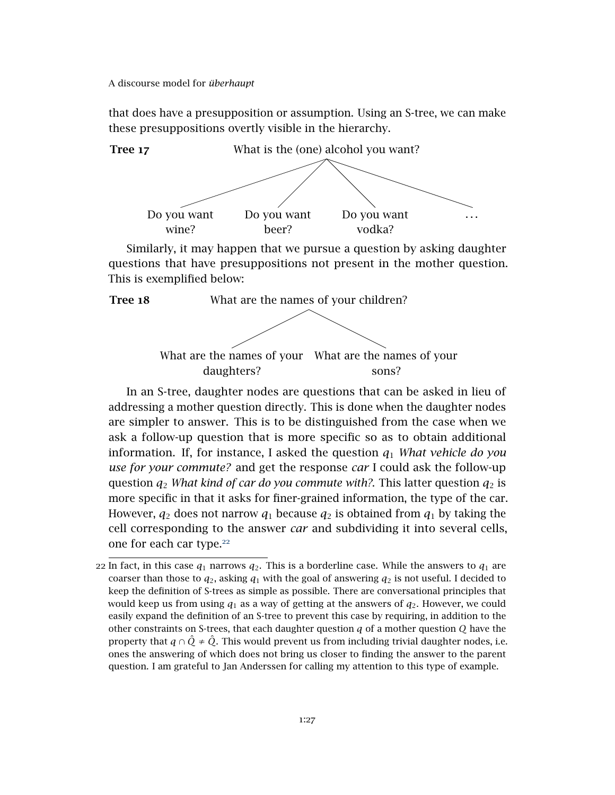that does have a presupposition or assumption. Using an S-tree, we can make these presuppositions overtly visible in the hierarchy.



Similarly, it may happen that we pursue a question by asking daughter questions that have presuppositions not present in the mother question. This is exemplified below:



In an S-tree, daughter nodes are questions that can be asked in lieu of addressing a mother question directly. This is done when the daughter nodes are simpler to answer. This is to be distinguished from the case when we ask a follow-up question that is more specific so as to obtain additional information. If, for instance, I asked the question  $q_1$  *What vehicle do you use for your commute?* and get the response *car* I could ask the follow-up question  $q_2$  *What kind of car do you commute with?*. This latter question  $q_2$  is more specific in that it asks for finer-grained information, the type of the car. However,  $q_2$  does not narrow  $q_1$  because  $q_2$  is obtained from  $q_1$  by taking the cell corresponding to the answer *car* and subdividing it into several cells, one for each car type.<sup>[22](#page-26-0)</sup>

<span id="page-26-0"></span><sup>22</sup> In fact, in this case  $q_1$  narrows  $q_2$ . This is a borderline case. While the answers to  $q_1$  are coarser than those to  $q_2$ , asking  $q_1$  with the goal of answering  $q_2$  is not useful. I decided to keep the definition of S-trees as simple as possible. There are conversational principles that would keep us from using  $q_1$  as a way of getting at the answers of  $q_2$ . However, we could easily expand the definition of an S-tree to prevent this case by requiring, in addition to the other constraints on S-trees, that each daughter question *q* of a mother question *Q* have the property that  $q \cap \hat{Q} \neq \hat{Q}$ . This would prevent us from including trivial daughter nodes, i.e. ones the answering of which does not bring us closer to finding the answer to the parent question. I am grateful to Jan Anderssen for calling my attention to this type of example.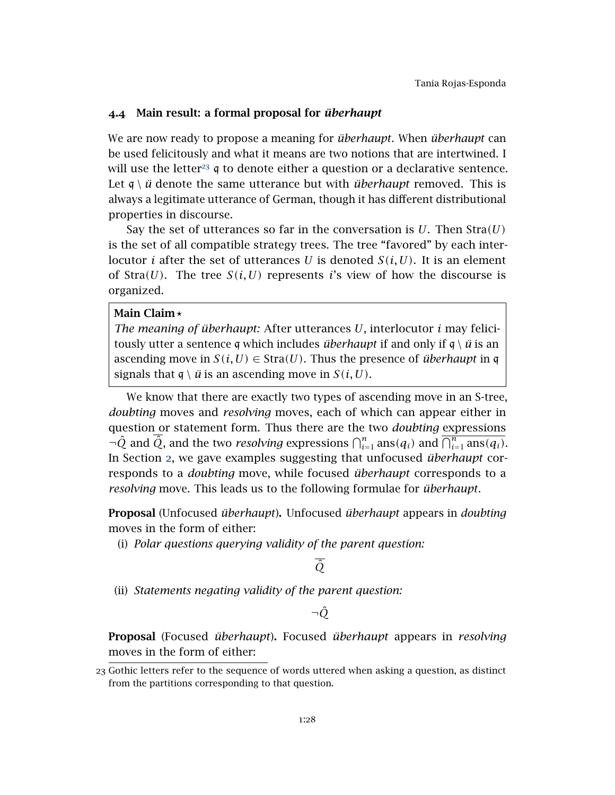# <span id="page-27-0"></span>4.4 Main result: a formal proposal for *überhaupt*

We are now ready to propose a meaning for *überhaupt*. When *überhaupt* can be used felicitously and what it means are two notions that are intertwined. I will use the letter<sup>[23](#page-27-1)</sup> q to denote either a question or a declarative sentence. Let  $\mathfrak{q} \setminus \mathfrak{u}$  denote the same utterance but with *überhaupt* removed. This is always a legitimate utterance of German, though it has different distributional properties in discourse.

Say the set of utterances so far in the conversation is *U*. Then Stra*(U)* is the set of all compatible strategy trees. The tree "favored" by each interlocutor *i* after the set of utterances *U* is denoted  $S(i, U)$ . It is an element of Stra $(U)$ . The tree  $S(i, U)$  represents *i*'s view of how the discourse is organized.

### Main Claim<sup>\*</sup>

<span id="page-27-2"></span>*The meaning of überhaupt:* After utterances *U*, interlocutor *i* may felicitously utter a sentence q which includes *überhaupt* if and only if  $q \setminus \ddot{u}$  is an ascending move in  $S(i, U) \in \text{Stra}(U)$ . Thus the presence of *überhaupt* in q signals that  $q \setminus \ddot{u}$  is an ascending move in  $S(i, U)$ .

We know that there are exactly two types of ascending move in an S-tree, *doubting* moves and *resolving* moves, each of which can appear either in question or statement form. Thus there are the two *doubting* expressions  $\neg$ *Q*<sup> $n$ </sup> and *Q*<sup> $i$ </sup>, and the two *resolving* expressions  $\bigcap_{i=1}^{n} \text{ans}(q_i)$  and  $\bigcap_{i=1}^{n} \text{ans}(q_i)$ . In Section [2](#page-1-1), we gave examples suggesting that unfocused *überhaupt* corresponds to a *doubting* move, while focused *überhaupt* corresponds to a *resolving* move. This leads us to the following formulae for *überhaupt*.

Proposal (Unfocused *überhaupt*). Unfocused *überhaupt* appears in *doubting* moves in the form of either:

(i) *Polar questions querying validity of the parent question:*

*Q*ˆ

(ii) *Statements negating validity of the parent question:*

¬*Q*ˆ

Proposal (Focused *überhaupt*). Focused *überhaupt* appears in *resolving* moves in the form of either:

<span id="page-27-1"></span><sup>23</sup> Gothic letters refer to the sequence of words uttered when asking a question, as distinct from the partitions corresponding to that question.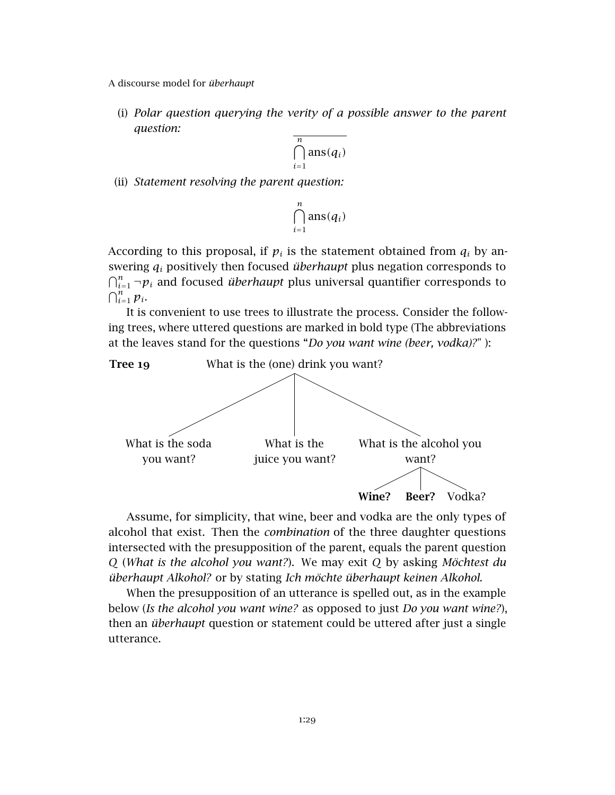(i) *Polar question querying the verity of a possible answer to the parent question:*

$$
\overline{\bigcap_{i=1}^{n} \text{ans}(q_i)}
$$

(ii) *Statement resolving the parent question:*

$$
\bigcap_{i=1}^n \mathrm{ans}(q_i)
$$

According to this proposal, if  $p_i$  is the statement obtained from  $q_i$  by answering *q<sup>i</sup>* positively then focused *überhaupt* plus negation corresponds to  $\bigcap_{i=1}^n \neg p_i$  and focused *überhaupt* plus universal quantifier corresponds to  $\bigcap_{i=1}^n p_i$ .

It is convenient to use trees to illustrate the process. Consider the following trees, where uttered questions are marked in bold type (The abbreviations at the leaves stand for the questions "*Do you want wine (beer, vodka)?*" ):

<span id="page-28-0"></span>

Assume, for simplicity, that wine, beer and vodka are the only types of alcohol that exist. Then the *combination* of the three daughter questions intersected with the presupposition of the parent, equals the parent question *Q* (*What is the alcohol you want?*). We may exit *Q* by asking *Möchtest du überhaupt Alkohol?* or by stating *Ich möchte überhaupt keinen Alkohol.*

When the presupposition of an utterance is spelled out, as in the example below (*Is the alcohol you want wine?* as opposed to just *Do you want wine?*), then an *überhaupt* question or statement could be uttered after just a single utterance.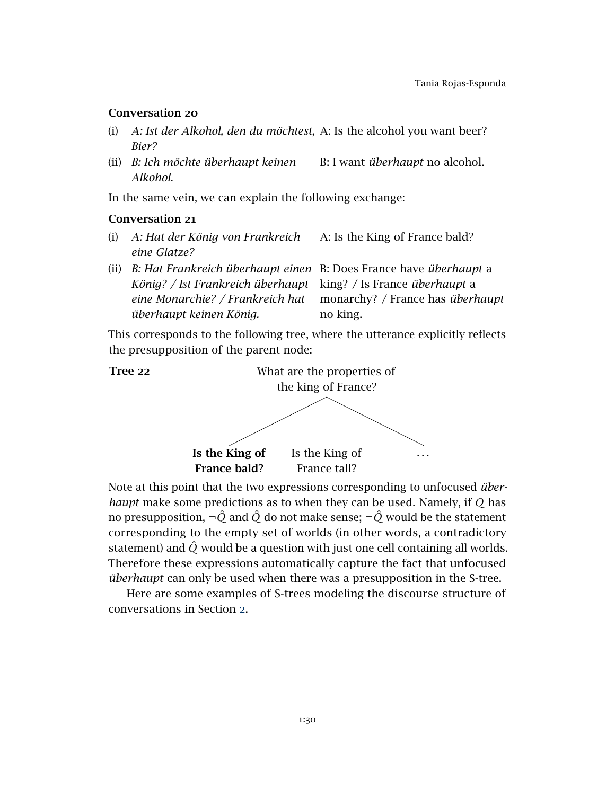# Conversation 20

- (i) *A: Ist der Alkohol, den du möchtest,* A: Is the alcohol you want beer? *Bier?*
- (ii) *B: Ich möchte überhaupt keinen Alkohol.* B: I want *überhaupt* no alcohol.

In the same vein, we can explain the following exchange:

### Conversation 21

- (i) *A: Hat der König von Frankreich eine Glatze?* A: Is the King of France bald?
- (ii) *B: Hat Frankreich überhaupt einen* B: Does France have *überhaupt* a König? / Ist Frankreich überhaupt king? / Is France überhaupt a *eine Monarchie? / Frankreich hat überhaupt keinen König.* monarchy? / France has *überhaupt* no king.

This corresponds to the following tree, where the utterance explicitly reflects the presupposition of the parent node:



Note at this point that the two expressions corresponding to unfocused *überhaupt* make some predictions as to when they can be used. Namely, if *Q* has no presupposition,  $\neg \hat{Q}$  and  $\overline{\hat{Q}}$  do not make sense;  $\neg \hat{Q}$  would be the statement corresponding to the empty set of worlds (in other words, a contradictory statement) and  $\hat{Q}$  would be a question with just one cell containing all worlds. Therefore these expressions automatically capture the fact that unfocused *überhaupt* can only be used when there was a presupposition in the S-tree.

Here are some examples of S-trees modeling the discourse structure of conversations in Section [2](#page-1-1).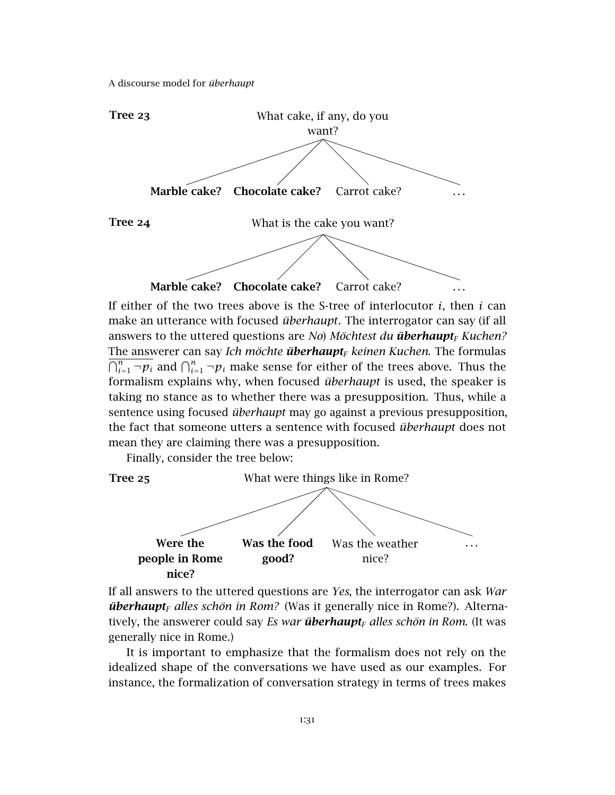

If either of the two trees above is the S-tree of interlocutor *i*, then *i* can make an utterance with focused *überhaupt*. The interrogator can say (if all answers to the uttered questions are *No*) *Möchtest du überhaupt<sup>F</sup> Kuchen?* The answerer can say *Ich möchte überhaupt<sup>F</sup> keinen Kuchen*. The formulas  $\bigcap_{i=1}^n \neg p_i$  and  $\bigcap_{i=1}^n \neg p_i$  make sense for either of the trees above. Thus the formalism explains why, when focused *überhaupt* is used, the speaker is taking no stance as to whether there was a presupposition. Thus, while a sentence using focused *überhaupt* may go against a previous presupposition, the fact that someone utters a sentence with focused *überhaupt* does not mean they are claiming there was a presupposition.

Finally, consider the tree below:



If all answers to the uttered questions are *Yes*, the interrogator can ask *War überhaupt<sup>F</sup> alles schön in Rom?* (Was it generally nice in Rome?). Alternatively, the answerer could say *Es war überhaupt<sub>F</sub> alles schön in Rom.* (It was generally nice in Rome.)

It is important to emphasize that the formalism does not rely on the idealized shape of the conversations we have used as our examples. For instance, the formalization of conversation strategy in terms of trees makes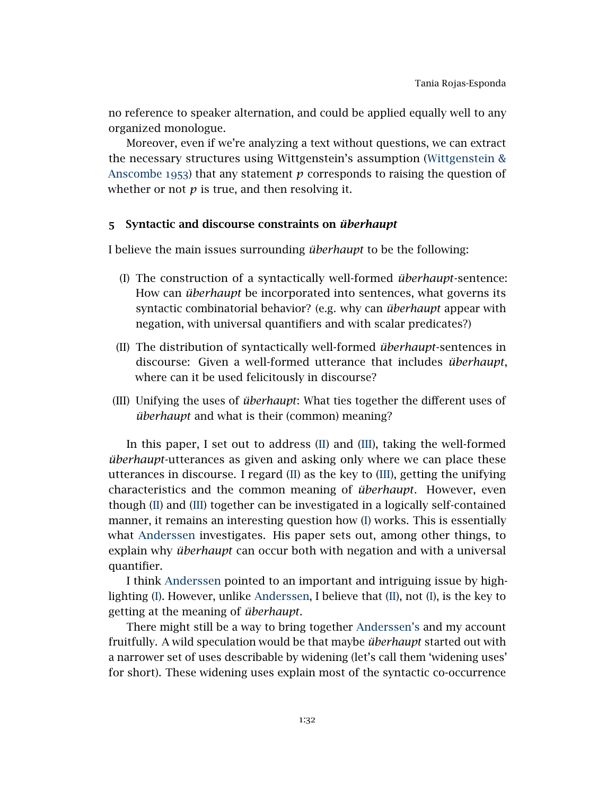no reference to speaker alternation, and could be applied equally well to any organized monologue.

Moreover, even if we're analyzing a text without questions, we can extract the necessary structures using Wittgenstein's assumption [\(Wittgenstein &](#page-44-2) [Anscombe](#page-44-2) 1953) that any statement *p* corresponds to raising the question of whether or not  $p$  is true, and then resolving it.

### <span id="page-31-0"></span>5 Syntactic and discourse constraints on *überhaupt*

I believe the main issues surrounding *überhaupt* to be the following:

- <span id="page-31-3"></span>(I) The construction of a syntactically well-formed *überhaupt*-sentence: How can *überhaupt* be incorporated into sentences, what governs its syntactic combinatorial behavior? (e.g. why can *überhaupt* appear with negation, with universal quantifiers and with scalar predicates?)
- <span id="page-31-1"></span>(II) The distribution of syntactically well-formed *überhaupt*-sentences in discourse: Given a well-formed utterance that includes *überhaupt*, where can it be used felicitously in discourse?
- <span id="page-31-2"></span>(III) Unifying the uses of *überhaupt*: What ties together the different uses of *überhaupt* and what is their (common) meaning?

In this paper, I set out to address [\(II\)](#page-31-1) and [\(III\)](#page-31-2), taking the well-formed *überhaupt*-utterances as given and asking only where we can place these utterances in discourse. I regard [\(II\)](#page-31-1) as the key to [\(III\)](#page-31-2), getting the unifying characteristics and the common meaning of *überhaupt*. However, even though [\(II\)](#page-31-1) and [\(III\)](#page-31-2) together can be investigated in a logically self-contained manner, it remains an interesting question how [\(I\)](#page-31-3) works. This is essentially what [Anderssen](#page-41-6) investigates. His paper sets out, among other things, to explain why *überhaupt* can occur both with negation and with a universal quantifier.

I think [Anderssen](#page-41-6) pointed to an important and intriguing issue by highlighting [\(I\)](#page-31-3). However, unlike [Anderssen,](#page-41-6) I believe that [\(II\)](#page-31-1), not [\(I\)](#page-31-3), is the key to getting at the meaning of *überhaupt*.

There might still be a way to bring together [Anderssen's](#page-41-6) and my account fruitfully. A wild speculation would be that maybe *überhaupt* started out with a narrower set of uses describable by widening (let's call them 'widening uses' for short). These widening uses explain most of the syntactic co-occurrence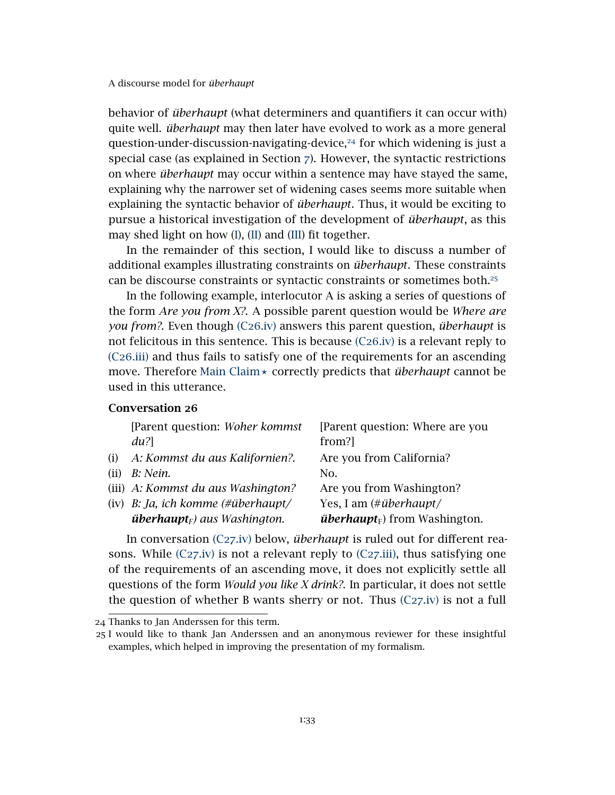behavior of *überhaupt* (what determiners and quantifiers it can occur with) quite well. *überhaupt* may then later have evolved to work as a more general question-under-discussion-navigating-device,<sup>[24](#page-32-0)</sup> for which widening is just a special case (as explained in Section [7](#page-39-0)). However, the syntactic restrictions on where *überhaupt* may occur within a sentence may have stayed the same, explaining why the narrower set of widening cases seems more suitable when explaining the syntactic behavior of *überhaupt*. Thus, it would be exciting to pursue a historical investigation of the development of *überhaupt*, as this may shed light on how [\(I\)](#page-31-3), [\(II\)](#page-31-1) and [\(III\)](#page-31-2) fit together.

In the remainder of this section, I would like to discuss a number of additional examples illustrating constraints on *überhaupt*. These constraints can be discourse constraints or syntactic constraints or sometimes both.[25](#page-32-1)

In the following example, interlocutor A is asking a series of questions of the form *Are you from X?*. A possible parent question would be *Where are you from?*. Even though (C26[.iv\)](#page-32-2) answers this parent question, *überhaupt* is not felicitous in this sentence. This is because (C26[.iv\)](#page-32-2) is a relevant reply to (C26[.iii\)](#page-32-3) and thus fails to satisfy one of the requirements for an ascending move. Therefore [Main Claim](#page-27-2)  $\times$  correctly predicts that *überhaupt* cannot be used in this utterance.

# Conversation 26

<span id="page-32-3"></span>

|      | [Parent question: Woher kommst]                 | [Parent question: Where are you                  |
|------|-------------------------------------------------|--------------------------------------------------|
|      | $du$ ?                                          | from?]                                           |
| (i)  | A: Kommst du aus Kalifornien?.                  | Are you from California?                         |
| (ii) | B: Nein.                                        | No.                                              |
|      | (iii) A: Kommst du aus Washington?              | Are you from Washington?                         |
|      | (iv) B: Ja, ich komme (#überhaupt/              | Yes, I am (# <i>überhaupt</i> /                  |
|      | <b>überhaupt</b> <sub>F</sub> ) aus Washington. | <i>überhaupt</i> <sub>F</sub> ) from Washington. |

<span id="page-32-2"></span>In conversation (C27[.iv\)](#page-33-0) below, *überhaupt* is ruled out for different reasons. While  $(C27 \text{.iv})$  is not a relevant reply to  $(C27 \text{.iii})$ , thus satisfying one of the requirements of an ascending move, it does not explicitly settle all questions of the form *Would you like X drink?*. In particular, it does not settle the question of whether B wants sherry or not. Thus  $(C27.iv)$  $(C27.iv)$  is not a full

<span id="page-32-0"></span><sup>24</sup> Thanks to Jan Anderssen for this term.

<span id="page-32-1"></span><sup>25</sup> I would like to thank Jan Anderssen and an anonymous reviewer for these insightful examples, which helped in improving the presentation of my formalism.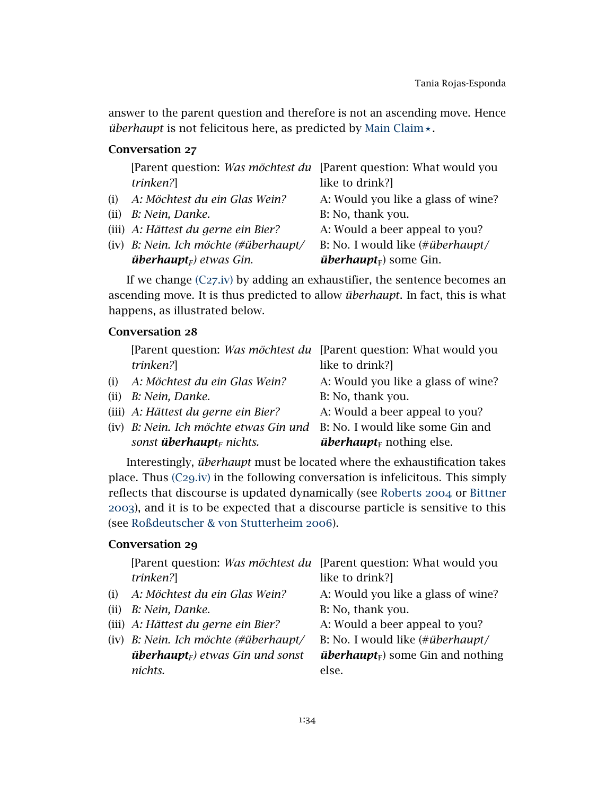answer to the parent question and therefore is not an ascending move. Hence *überhaupt* is not felicitous here, as predicted by [Main Claim](#page-27-2)  $\star$ .

# Conversation 27

<span id="page-33-1"></span><span id="page-33-0"></span>

| [Parent question: <i>Was möchtest du</i> [Parent question: What would you |                                           |
|---------------------------------------------------------------------------|-------------------------------------------|
| trinken?]                                                                 | like to drink?]                           |
| (i) A: Möchtest du ein Glas Wein?                                         | A: Would you like a glass of wine?        |
| (ii) B: Nein, Danke.                                                      | B: No, thank you.                         |
| (iii) A: Hättest du gerne ein Bier?                                       | A: Would a beer appeal to you?            |
| (iv) B: Nein. Ich möchte (#überhaupt/                                     | B: No. I would like (# <i>überhaupt</i> / |
| <b>überhaupt</b> $_F$ ) etwas Gin.                                        | <i>überhaupt</i> <sub>F</sub> ) some Gin. |

If we change  $(C27.iv)$  $(C27.iv)$  by adding an exhaustifier, the sentence becomes an ascending move. It is thus predicted to allow *überhaupt*. In fact, this is what happens, as illustrated below.

# Conversation 28

|      | [Parent question: Was möchtest du [Parent question: What would you      |                                             |
|------|-------------------------------------------------------------------------|---------------------------------------------|
|      | trinken?]                                                               | like to drink?]                             |
| (i)  | A: Möchtest du ein Glas Wein?                                           | A: Would you like a glass of wine?          |
| (ii) | B: Nein, Danke.                                                         | B: No, thank you.                           |
|      | (iii) A: Hättest du gerne ein Bier?                                     | A: Would a beer appeal to you?              |
|      | (iv) B: Nein. Ich möchte etwas Gin und B: No. I would like some Gin and |                                             |
|      | sonst <b>überhaupt</b> <sub>F</sub> nichts.                             | <i>überhaupt</i> <sub>F</sub> nothing else. |

Interestingly, *überhaupt* must be located where the exhaustification takes place. Thus (C29[.iv\)](#page-33-2) in the following conversation is infelicitous. This simply reflects that discourse is updated dynamically (see [Roberts](#page-43-1) 2004 or [Bittner](#page-41-9) [2003](#page-41-9)), and it is to be expected that a discourse particle is sensitive to this (see [Roßdeutscher & von Stutterheim](#page-43-9) 2006).

# Conversation 29

<span id="page-33-2"></span>

|      | [Parent question: Was möchtest du [Parent question: What would you |                                                      |
|------|--------------------------------------------------------------------|------------------------------------------------------|
|      | trinken?]                                                          | like to drink?]                                      |
| (i)  | A: Möchtest du ein Glas Wein?                                      | A: Would you like a glass of wine?                   |
| (ii) | B: Nein, Danke.                                                    | B: No, thank you.                                    |
|      | (iii) A: Hättest du gerne ein Bier?                                | A: Would a beer appeal to you?                       |
|      | $(iv)$ B: Nein. Ich möchte (#überhaupt/                            | B: No. I would like (# <i>überhaupt</i> /            |
|      | <b>überhaupt</b> <sub>F</sub> ) etwas Gin und sonst                | <i>überhaupt</i> <sub>F</sub> ) some Gin and nothing |
|      | nichts.                                                            | else.                                                |
|      |                                                                    |                                                      |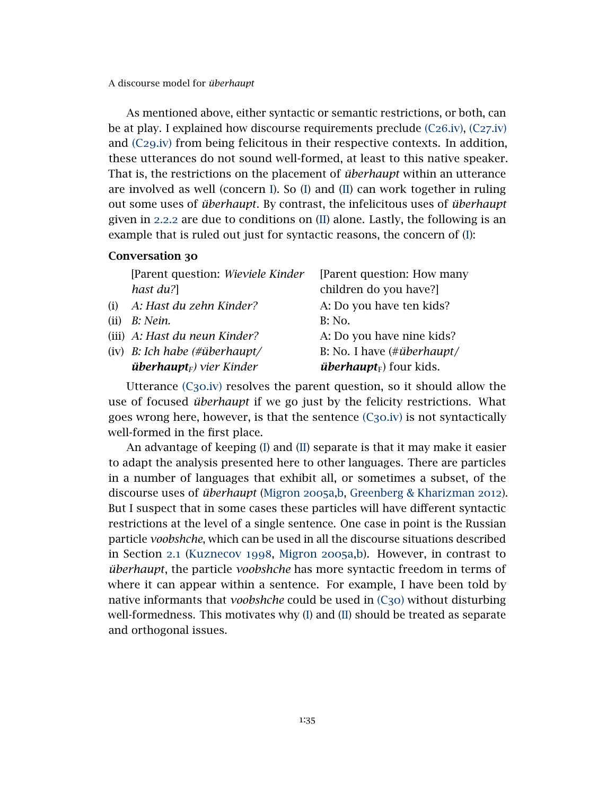As mentioned above, either syntactic or semantic restrictions, or both, can be at play. I explained how discourse requirements preclude (C26[.iv\),](#page-32-2) (C27[.iv\)](#page-33-0) and (C29[.iv\)](#page-33-2) from being felicitous in their respective contexts. In addition, these utterances do not sound well-formed, at least to this native speaker. That is, the restrictions on the placement of *überhaupt* within an utterance are involved as well (concern [I\)](#page-31-3). So [\(I\)](#page-31-3) and [\(II\)](#page-31-1) can work together in ruling out some uses of *überhaupt*. By contrast, the infelicitous uses of *überhaupt* given in [2](#page-6-1).2.2 are due to conditions on [\(II\)](#page-31-1) alone. Lastly, the following is an example that is ruled out just for syntactic reasons, the concern of [\(I\)](#page-31-3):

# <span id="page-34-1"></span>Conversation 30

<span id="page-34-0"></span>

|      | [Parent question: Wieviele Kinder            | [Parent question: How many                             |
|------|----------------------------------------------|--------------------------------------------------------|
|      | hast du?]                                    | children do you have?]                                 |
| (i)  | A: Hast du zehn Kinder?                      | A: Do you have ten kids?                               |
| (ii) | B: Nein.                                     | B: No.                                                 |
|      | (iii) A: Hast du neun Kinder?                | A: Do you have nine kids?                              |
|      | (iv) B: Ich habe $(\# \ddot{\mu})$ berhaupt/ | B: No. I have $(\# \ddot{u} \text{berhaupt} / \theta)$ |
|      | <b>überhaupt</b> <sub>F</sub> ) vier Kinder  | <i>überhaupt</i> <sub>F</sub> ) four kids.             |
|      |                                              |                                                        |

Utterance  $(C_3o_iv)$  resolves the parent question, so it should allow the use of focused *überhaupt* if we go just by the felicity restrictions. What goes wrong here, however, is that the sentence  $(C_3o$  iv) is not syntactically well-formed in the first place.

An advantage of keeping [\(I\)](#page-31-3) and [\(II\)](#page-31-1) separate is that it may make it easier to adapt the analysis presented here to other languages. There are particles in a number of languages that exhibit all, or sometimes a subset, of the discourse uses of *überhaupt* [\(Migron](#page-43-10) 2005a[,b,](#page-43-11) [Greenberg & Kharizman](#page-42-10) 2012). But I suspect that in some cases these particles will have different syntactic restrictions at the level of a single sentence. One case in point is the Russian particle *voobshche*, which can be used in all the discourse situations described in Section [2](#page-2-5).1 [\(Kuznecov](#page-43-12) 1998, [Migron](#page-43-10) 2005a[,b\)](#page-43-11). However, in contrast to *überhaupt*, the particle *voobshche* has more syntactic freedom in terms of where it can appear within a sentence. For example, I have been told by native informants that *voobshche* could be used in (C[30](#page-34-1)) without disturbing well-formedness. This motivates why [\(I\)](#page-31-3) and [\(II\)](#page-31-1) should be treated as separate and orthogonal issues.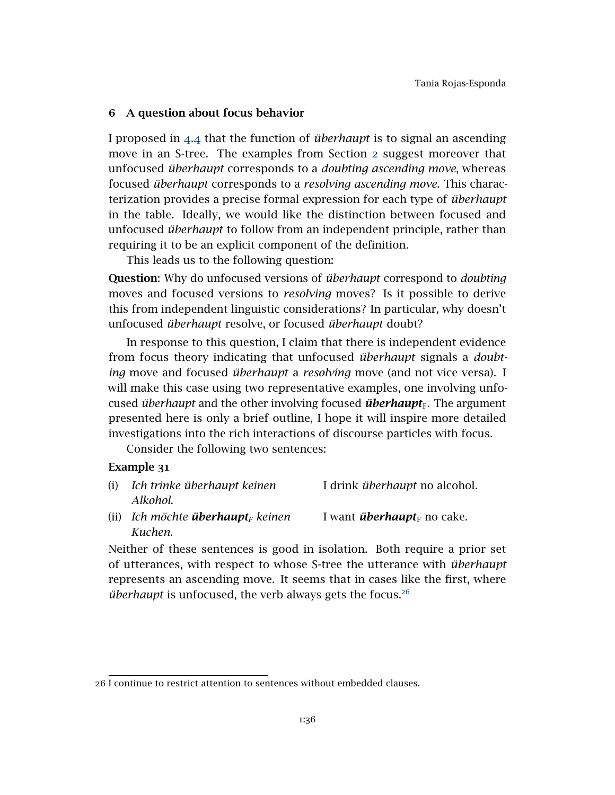# <span id="page-35-0"></span>6 A question about focus behavior

I proposed in [4](#page-27-0).4 that the function of *überhaupt* is to signal an ascending move in an S-tree. The examples from Section [2](#page-1-1) suggest moreover that unfocused *überhaupt* corresponds to a *doubting ascending move*, whereas focused *überhaupt* corresponds to a *resolving ascending move*. This characterization provides a precise formal expression for each type of *überhaupt* in the table. Ideally, we would like the distinction between focused and unfocused *überhaupt* to follow from an independent principle, rather than requiring it to be an explicit component of the definition.

This leads us to the following question:

Question: Why do unfocused versions of *überhaupt* correspond to *doubting* moves and focused versions to *resolving* moves? Is it possible to derive this from independent linguistic considerations? In particular, why doesn't unfocused *überhaupt* resolve, or focused *überhaupt* doubt?

In response to this question, I claim that there is independent evidence from focus theory indicating that unfocused *überhaupt* signals a *doubting* move and focused *überhaupt* a *resolving* move (and not vice versa). I will make this case using two representative examples, one involving unfocused *überhaupt* and the other involving focused *überhaupt*<sub>F</sub>. The argument presented here is only a brief outline, I hope it will inspire more detailed investigations into the rich interactions of discourse particles with focus.

Consider the following two sentences:

# Example 31

| (i) Ich trinke überhaupt keinen                                                                                                                                                                                                                                                                                                                                                                                          |  |  | I drink <i>überhaupt</i> no alcohol. |  |  |  |  |  |  |  |
|--------------------------------------------------------------------------------------------------------------------------------------------------------------------------------------------------------------------------------------------------------------------------------------------------------------------------------------------------------------------------------------------------------------------------|--|--|--------------------------------------|--|--|--|--|--|--|--|
| Alkohol.                                                                                                                                                                                                                                                                                                                                                                                                                 |  |  |                                      |  |  |  |  |  |  |  |
| $\mathcal{L}(\mathbf{1},\mathbf{1}) = \mathbf{1} \mathbf{1} \mathbf{1} + \mathbf{1} \mathbf{1} \mathbf{1} + \mathbf{1} \mathbf{1} \mathbf{1} \mathbf{1} + \mathbf{1} \mathbf{1} \mathbf{1} \mathbf{1} + \mathbf{1} \mathbf{1} \mathbf{1} \mathbf{1} \mathbf{1} \mathbf{1} \mathbf{1} \mathbf{1} \mathbf{1} \mathbf{1} \mathbf{1} \mathbf{1} \mathbf{1} \mathbf{1} \mathbf{1} \mathbf{1} \mathbf{1} \mathbf{1} \mathbf{1$ |  |  |                                      |  |  |  |  |  |  |  |

(ii) *Ich möchte überhaupt<sub>F</sub> keinen I want überhaupt<sub>F</sub> no cake. Kuchen.*

Neither of these sentences is good in isolation. Both require a prior set of utterances, with respect to whose S-tree the utterance with *überhaupt* represents an ascending move. It seems that in cases like the first, where *überhaupt* is unfocused, the verb always gets the focus.[26](#page-35-1)

<span id="page-35-1"></span><sup>26</sup> I continue to restrict attention to sentences without embedded clauses.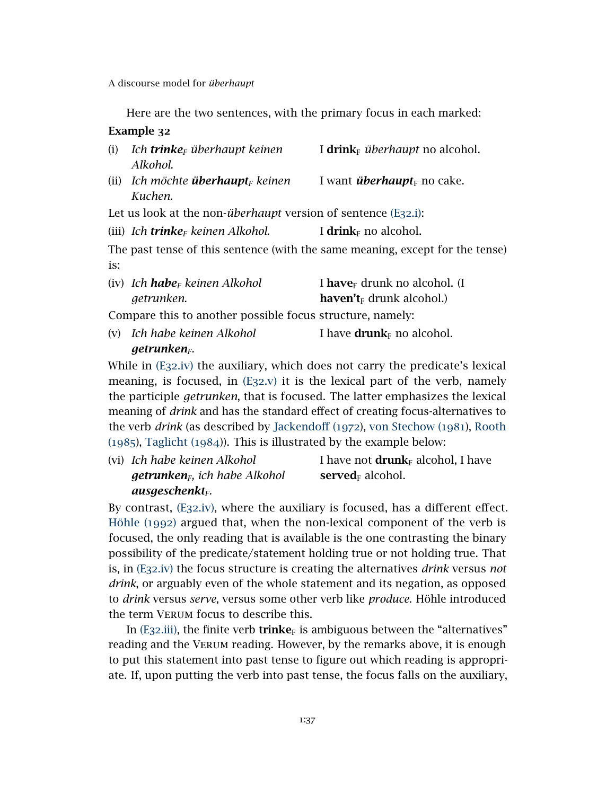<span id="page-36-3"></span><span id="page-36-0"></span>Here are the two sentences, with the primary focus in each marked:

| Example 32 |
|------------|
|------------|

| (i) | Ich <b>trinke</b> <sub>F</sub> überhaupt keinen<br>Alkohol.                 | I drink <sub>F</sub> überhaupt no alcohol.                                    |
|-----|-----------------------------------------------------------------------------|-------------------------------------------------------------------------------|
|     | (ii) Ich möchte <b>überhaupt</b> <sub>F</sub> keinen<br>Kuchen.             | I want <i>überhaupt</i> no cake.                                              |
|     | Let us look at the non- <i>überhaupt</i> version of sentence $(E_{32}.i)$ : |                                                                               |
|     | (iii) Ich <b>trinke</b> <sub>F</sub> keinen Alkohol.                        | I drink <sub>F</sub> no alcohol.                                              |
|     |                                                                             | The past tense of this sentence (with the same meaning, except for the tense) |
| is: |                                                                             |                                                                               |

<span id="page-36-1"></span>

| (iv) Ich <b>habe</b> <sub>F</sub> keinen Alkohol | I have <sub><math>F</math></sub> drunk no alcohol. (I |
|--------------------------------------------------|-------------------------------------------------------|
| getrunken.                                       | <b>haven't</b> <sub>F</sub> drunk alcohol.)           |

<span id="page-36-2"></span>Compare this to another possible focus structure, namely:

(v) *Ich habe keinen Alkohol getrunkenF.* I have **drunk** $F$  no alcohol.

While in (E32[.iv\)](#page-36-1) the auxiliary, which does not carry the predicate's lexical meaning, is focused, in (E32[.v\)](#page-36-2) it is the lexical part of the verb, namely the participle *getrunken*, that is focused. The latter emphasizes the lexical meaning of *drink* and has the standard effect of creating focus-alternatives to the verb *drink* (as described by [Jackendoff \(](#page-42-11)1972), [von Stechow \(](#page-44-3)1981), [Rooth](#page-43-13) ([1985](#page-43-13)), [Taglicht \(](#page-44-4)1984)). This is illustrated by the example below:

(vi) *Ich habe keinen Alkohol getrunkenF, ich habe Alkohol ausgeschenktF.* I have not  $drunk_F$  alcohol, I have served<sub> $F$ </sub> alcohol.

By contrast, (E32[.iv\),](#page-36-1) where the auxiliary is focused, has a different effect. [Höhle \(](#page-42-12)1992) argued that, when the non-lexical component of the verb is focused, the only reading that is available is the one contrasting the binary possibility of the predicate/statement holding true or not holding true. That is, in (E32[.iv\)](#page-36-1) the focus structure is creating the alternatives *drink* versus *not drink*, or arguably even of the whole statement and its negation, as opposed to *drink* versus *serve*, versus some other verb like *produce*. Höhle introduced the term Verum focus to describe this.

In (E32[.iii\),](#page-36-3) the finite verb trinke<sub>F</sub> is ambiguous between the "alternatives" reading and the Verum reading. However, by the remarks above, it is enough to put this statement into past tense to figure out which reading is appropriate. If, upon putting the verb into past tense, the focus falls on the auxiliary,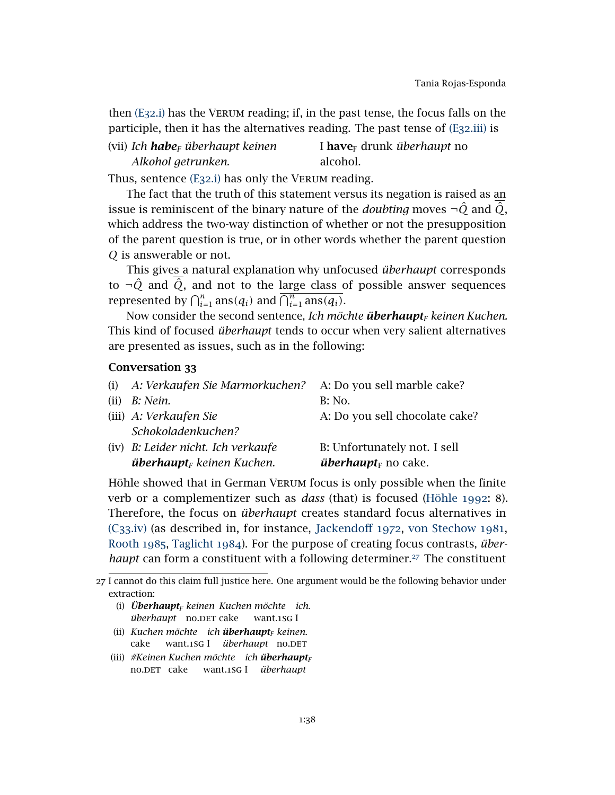then (E[32](#page-36-0).i) has the Verum reading; if, in the past tense, the focus falls on the participle, then it has the alternatives reading. The past tense of (E32[.iii\)](#page-36-3) is

| (vii) Ich <b>habe</b> <sub>r</sub> überhaupt keinen | I <b>have</b> <sub><math>F</math></sub> drunk <i>überhaupt</i> no |
|-----------------------------------------------------|-------------------------------------------------------------------|
| Alkohol getrunken.                                  | alcohol.                                                          |

Thus, sentence (E[32](#page-36-0).i) has only the Verum reading.

The fact that the truth of this statement versus its negation is raised as an issue is reminiscent of the binary nature of the *doubting* moves  $\neg \hat{Q}$  and  $\hat{Q}$ , which address the two-way distinction of whether or not the presupposition of the parent question is true, or in other words whether the parent question *Q* is answerable or not.

This gives a natural explanation why unfocused *überhaupt* corresponds to  $\neg$ Q̂ and  $\overline{Q}$ , and not to the large class of possible answer sequences represented by  $\bigcap_{i=1}^n \mathrm{ans}(q_i)$  and  $\overline{\bigcap_{i=1}^n \mathrm{ans}(q_i)}$ .

Now consider the second sentence, *Ich möchte überhaupt<sup>F</sup> keinen Kuchen.* This kind of focused *überhaupt* tends to occur when very salient alternatives are presented as issues, such as in the following:

# Conversation 33

<span id="page-37-0"></span>

|      | (i) A: Verkaufen Sie Marmorkuchen?           | A: Do you sell marble cake?    |
|------|----------------------------------------------|--------------------------------|
| (ii) | B: Nein.                                     | B: No.                         |
|      | (iii) A: Verkaufen Sie                       | A: Do you sell chocolate cake? |
|      | Schokoladenkuchen?                           |                                |
|      | (iv) B: Leider nicht. Ich verkaufe           | B: Unfortunately not. I sell   |
|      | <b>überhaupt</b> <sub>F</sub> keinen Kuchen. | <i>überhaupt</i> $_F$ no cake. |

Höhle showed that in German Verum focus is only possible when the finite verb or a complementizer such as *dass* (that) is focused [\(Höhle](#page-42-12) 1992: 8). Therefore, the focus on *überhaupt* creates standard focus alternatives in (C33[.iv\)](#page-37-0) (as described in, for instance, [Jackendoff](#page-42-11) 1972, [von Stechow](#page-44-3) 1981, [Rooth](#page-43-13) 1985, [Taglicht](#page-44-4) 1984). For the purpose of creating focus contrasts, *überhaupt* can form a constituent with a following determiner.<sup>[27](#page-37-1)</sup> The constituent

- (i) *Überhaupt<sup>F</sup> keinen Kuchen möchte ich.* überhaupt no.DET cake want.1sg I
- (ii) *Kuchen möchte ich überhaupt<sup>F</sup> keinen.* cake want.1SG I überhaupt no.DET
- (iii) *#Keinen Kuchen möchte ich überhaupt<sup>F</sup>* no.DET cake want.1SG I *überhaupt*

<span id="page-37-1"></span><sup>27</sup> I cannot do this claim full justice here. One argument would be the following behavior under extraction: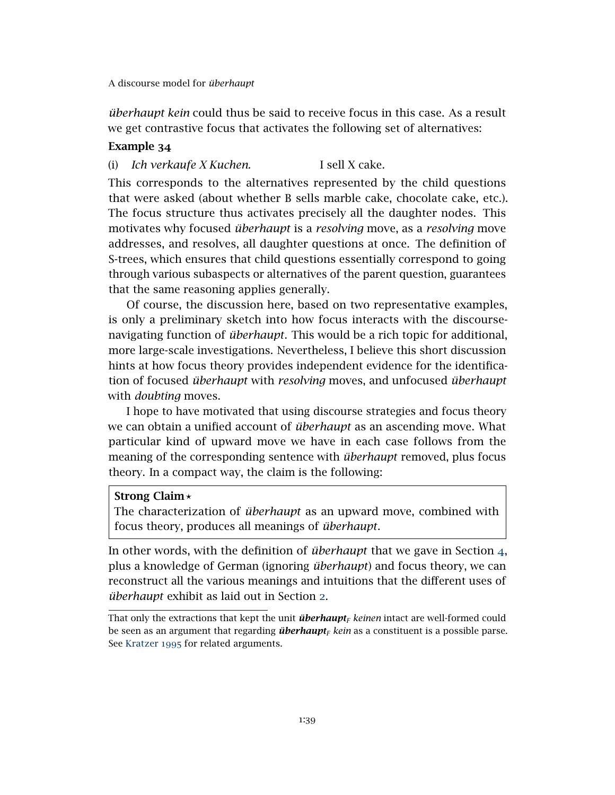*überhaupt kein* could thus be said to receive focus in this case. As a result we get contrastive focus that activates the following set of alternatives:

# Example 34

(i) *Ich verkaufe X Kuchen.* I sell X cake.

This corresponds to the alternatives represented by the child questions that were asked (about whether B sells marble cake, chocolate cake, etc.). The focus structure thus activates precisely all the daughter nodes. This motivates why focused *überhaupt* is a *resolving* move, as a *resolving* move addresses, and resolves, all daughter questions at once. The definition of S-trees, which ensures that child questions essentially correspond to going through various subaspects or alternatives of the parent question, guarantees that the same reasoning applies generally.

Of course, the discussion here, based on two representative examples, is only a preliminary sketch into how focus interacts with the discoursenavigating function of *überhaupt*. This would be a rich topic for additional, more large-scale investigations. Nevertheless, I believe this short discussion hints at how focus theory provides independent evidence for the identification of focused *überhaupt* with *resolving* moves, and unfocused *überhaupt* with *doubting* moves.

I hope to have motivated that using discourse strategies and focus theory we can obtain a unified account of *überhaupt* as an ascending move. What particular kind of upward move we have in each case follows from the meaning of the corresponding sentence with *überhaupt* removed, plus focus theory. In a compact way, the claim is the following:

# Strong Claim*?*

The characterization of *überhaupt* as an upward move, combined with focus theory, produces all meanings of *überhaupt*.

In other words, with the definition of *überhaupt* that we gave in Section [4](#page-15-0), plus a knowledge of German (ignoring *überhaupt*) and focus theory, we can reconstruct all the various meanings and intuitions that the different uses of *überhaupt* exhibit as laid out in Section [2](#page-1-1).

That only the extractions that kept the unit *überhaupt<sup>F</sup> keinen* intact are well-formed could be seen as an argument that regarding *überhaupt<sup>F</sup> kein* as a constituent is a possible parse. See [Kratzer](#page-43-14) 1995 for related arguments.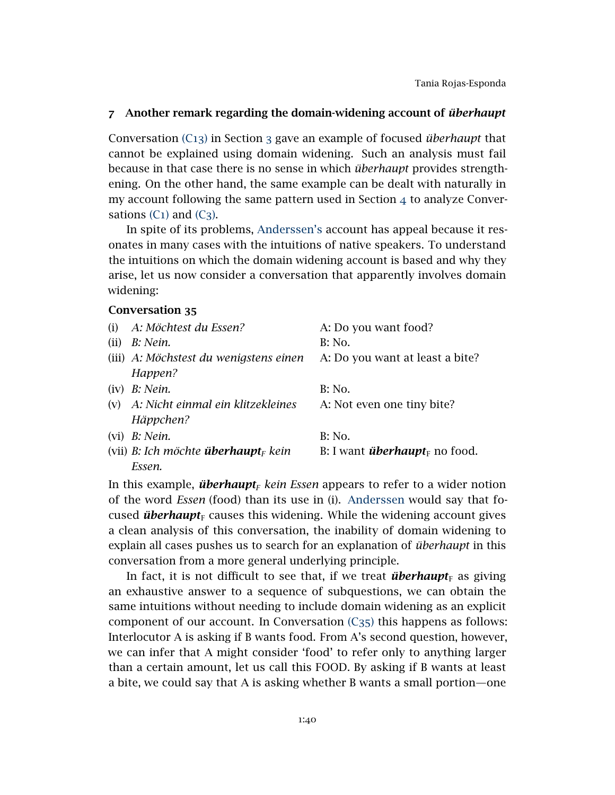# <span id="page-39-0"></span>7 Another remark regarding the domain-widening account of *überhaupt*

Conversation [\(C](#page-15-1)13) in Section [3](#page-11-0) gave an example of focused *überhaupt* that cannot be explained using domain widening. Such an analysis must fail because in that case there is no sense in which *überhaupt* provides strengthening. On the other hand, the same example can be dealt with naturally in my account following the same pattern used in Section [4](#page-15-0) to analyze Conversations  $(C_1)$  $(C_1)$  and  $(C_3)$ .

In spite of its problems, [Anderssen's](#page-41-6) account has appeal because it resonates in many cases with the intuitions of native speakers. To understand the intuitions on which the domain widening account is based and why they arise, let us now consider a conversation that apparently involves domain widening:

### <span id="page-39-1"></span>Conversation 35

| (i)  | A: Möchtest du Essen?                                  | A: Do you want food?                             |
|------|--------------------------------------------------------|--------------------------------------------------|
| (ii) | B: Nein.                                               | <b>B</b> : No.                                   |
|      | (iii) A: Möchstest du wenigstens einen                 | A: Do you want at least a bite?                  |
|      | Happen?                                                |                                                  |
|      | $(iv)$ <i>B: Nein.</i>                                 | <b>B</b> : No.                                   |
| (v)  | A: Nicht einmal ein klitzekleines                      | A: Not even one tiny bite?                       |
|      | Häppchen?                                              |                                                  |
|      | $(vi)$ <i>B: Nein.</i>                                 | <b>B</b> : No.                                   |
|      | (vii) B: Ich möchte <b>überhaupt</b> <sub>F</sub> kein | B: I want <i>überhaupt</i> <sub>F</sub> no food. |
|      | Essen.                                                 |                                                  |

In this example, *überhaupt<sup>F</sup> kein Essen* appears to refer to a wider notion of the word *Essen* (food) than its use in (i). [Anderssen](#page-41-6) would say that focused *überhaupt*<sub>F</sub> causes this widening. While the widening account gives a clean analysis of this conversation, the inability of domain widening to explain all cases pushes us to search for an explanation of *überhaupt* in this conversation from a more general underlying principle.

In fact, it is not difficult to see that, if we treat *überhaupt*<sub>F</sub> as giving an exhaustive answer to a sequence of subquestions, we can obtain the same intuitions without needing to include domain widening as an explicit component of our account. In Conversation  $(C_{35})$  $(C_{35})$  this happens as follows: Interlocutor A is asking if B wants food. From A's second question, however, we can infer that A might consider 'food' to refer only to anything larger than a certain amount, let us call this FOOD. By asking if B wants at least a bite, we could say that A is asking whether B wants a small portion—one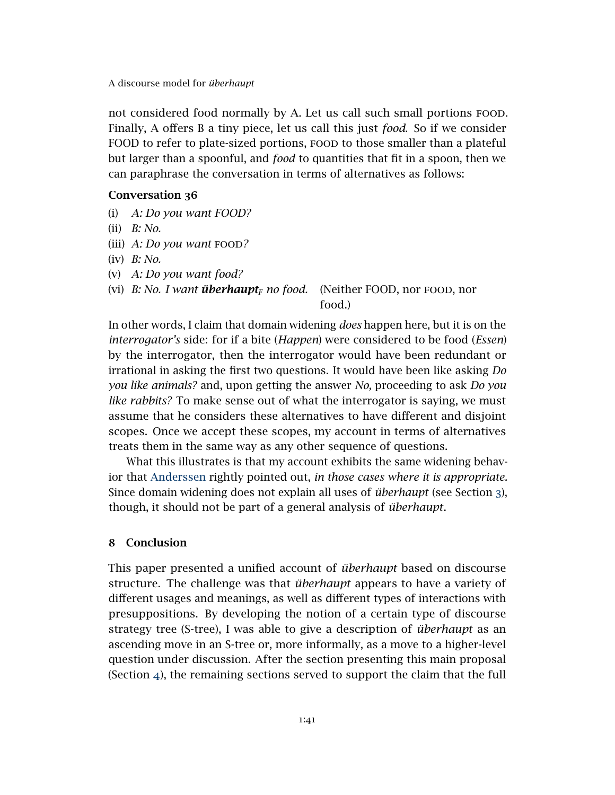not considered food normally by A. Let us call such small portions food. Finally, A offers B a tiny piece, let us call this just *food*. So if we consider FOOD to refer to plate-sized portions, FOOD to those smaller than a plateful but larger than a spoonful, and *food* to quantities that fit in a spoon, then we can paraphrase the conversation in terms of alternatives as follows:

### Conversation 36

- (i) *A: Do you want FOOD?*
- (ii) *B: No.*
- (iii) *A: Do you want* food*?*
- (iv) *B: No.*
- (v) *A: Do you want food?*
- (vi) *B: No. I want überhaupt<sup>F</sup> no food.* (Neither FOOD, nor food, nor

# food.)

In other words, I claim that domain widening *does* happen here, but it is on the *interrogator's* side: for if a bite (*Happen*) were considered to be food (*Essen*) by the interrogator, then the interrogator would have been redundant or irrational in asking the first two questions. It would have been like asking *Do you like animals?* and, upon getting the answer *No,* proceeding to ask *Do you like rabbits?* To make sense out of what the interrogator is saying, we must assume that he considers these alternatives to have different and disjoint scopes. Once we accept these scopes, my account in terms of alternatives treats them in the same way as any other sequence of questions.

What this illustrates is that my account exhibits the same widening behavior that [Anderssen](#page-41-6) rightly pointed out, *in those cases where it is appropriate.* Since domain widening does not explain all uses of *überhaupt* (see Section [3](#page-11-0)), though, it should not be part of a general analysis of *überhaupt*.

# 8 Conclusion

This paper presented a unified account of *überhaupt* based on discourse structure. The challenge was that *überhaupt* appears to have a variety of different usages and meanings, as well as different types of interactions with presuppositions. By developing the notion of a certain type of discourse strategy tree (S-tree), I was able to give a description of *überhaupt* as an ascending move in an S-tree or, more informally, as a move to a higher-level question under discussion. After the section presenting this main proposal (Section [4](#page-15-0)), the remaining sections served to support the claim that the full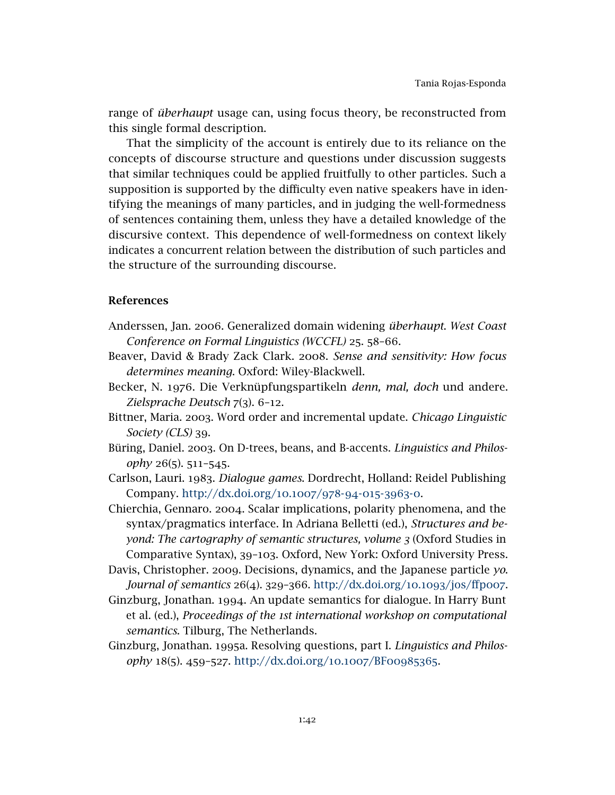range of *überhaupt* usage can, using focus theory, be reconstructed from this single formal description.

That the simplicity of the account is entirely due to its reliance on the concepts of discourse structure and questions under discussion suggests that similar techniques could be applied fruitfully to other particles. Such a supposition is supported by the difficulty even native speakers have in identifying the meanings of many particles, and in judging the well-formedness of sentences containing them, unless they have a detailed knowledge of the discursive context. This dependence of well-formedness on context likely indicates a concurrent relation between the distribution of such particles and the structure of the surrounding discourse.

# References

- <span id="page-41-6"></span>Anderssen, Jan. 2006. Generalized domain widening *überhaupt*. *West Coast Conference on Formal Linguistics (WCCFL)* 25. 58–66.
- <span id="page-41-3"></span>Beaver, David & Brady Zack Clark. 2008. *Sense and sensitivity: How focus determines meaning*. Oxford: Wiley-Blackwell.
- <span id="page-41-5"></span>Becker, N. 1976. Die Verknüpfungspartikeln *denn, mal, doch* und andere. *Zielsprache Deutsch* 7(3). 6–12.
- <span id="page-41-9"></span>Bittner, Maria. 2003. Word order and incremental update. *Chicago Linguistic Society (CLS)* 39.
- <span id="page-41-2"></span>Büring, Daniel. 2003. On D-trees, beans, and B-accents. *Linguistics and Philosophy* 26(5). 511–545.
- <span id="page-41-8"></span>Carlson, Lauri. 1983. *Dialogue games*. Dordrecht, Holland: Reidel Publishing Company. [http://dx.doi.org/](http://dx.doi.org/10.1007/978-94-015-3963-0)10.1007/978-94-015-3963-0.

<span id="page-41-7"></span>Chierchia, Gennaro. 2004. Scalar implications, polarity phenomena, and the syntax/pragmatics interface. In Adriana Belletti (ed.), *Structures and beyond: The cartography of semantic structures, volume 3* (Oxford Studies in Comparative Syntax), 39–103. Oxford, New York: Oxford University Press.

- <span id="page-41-4"></span>Davis, Christopher. 2009. Decisions, dynamics, and the Japanese particle *yo*. *Journal of semantics* 26(4). 329–366. [http://dx.doi.org/](http://dx.doi.org/10.1093/jos/ffp007)10.1093/jos/ffp007.
- <span id="page-41-0"></span>Ginzburg, Jonathan. 1994. An update semantics for dialogue. In Harry Bunt et al. (ed.), *Proceedings of the 1st international workshop on computational semantics*. Tilburg, The Netherlands.
- <span id="page-41-1"></span>Ginzburg, Jonathan. 1995a. Resolving questions, part I. *Linguistics and Philosophy* 18(5). 459–527. [http://dx.doi.org/](http://dx.doi.org/10.1007/BF00985365)10.1007/BF00985365.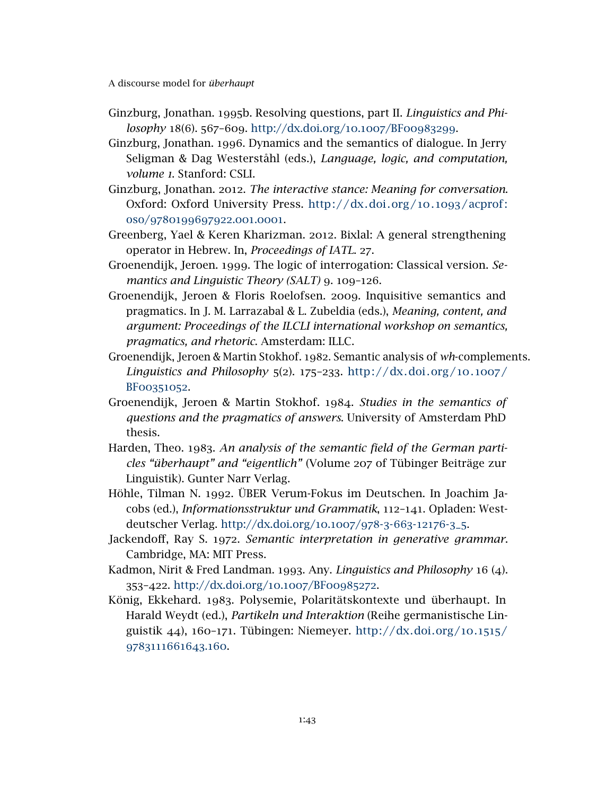- <span id="page-42-4"></span>Ginzburg, Jonathan. 1995b. Resolving questions, part II. *Linguistics and Philosophy* 18(6). 567–609. [http://dx.doi.org/](http://dx.doi.org/10.1007/BF00983299)10.1007/BF00983299.
- <span id="page-42-0"></span>Ginzburg, Jonathan. 1996. Dynamics and the semantics of dialogue. In Jerry Seligman & Dag Westerståhl (eds.), *Language, logic, and computation, volume 1*. Stanford: CSLI.
- <span id="page-42-1"></span>Ginzburg, Jonathan. 2012. *The interactive stance: Meaning for conversation*. Oxford: Oxford University Press. [http: / /dx.doi.org /](http://dx.doi.org/10.1093/acprof:oso/9780199697922.001.0001)10.1093/ acprof: oso/[9780199697922](http://dx.doi.org/10.1093/acprof:oso/9780199697922.001.0001).001.0001.
- <span id="page-42-10"></span>Greenberg, Yael & Keren Kharizman. 2012. Bixlal: A general strengthening operator in Hebrew. In, *Proceedings of IATL*. 27.
- <span id="page-42-2"></span>Groenendijk, Jeroen. 1999. The logic of interrogation: Classical version. *Semantics and Linguistic Theory (SALT)* 9. 109–126.
- <span id="page-42-3"></span>Groenendijk, Jeroen & Floris Roelofsen. 2009. Inquisitive semantics and pragmatics. In J. M. Larrazabal & L. Zubeldia (eds.), *Meaning, content, and argument: Proceedings of the ILCLI international workshop on semantics, pragmatics, and rhetoric*. Amsterdam: ILLC.
- <span id="page-42-8"></span>Groenendijk, Jeroen & Martin Stokhof. 1982. Semantic analysis of *wh*-complements. *Linguistics and Philosophy* 5(2). 175–233. [http: / /dx.doi.org /](http://dx.doi.org/10.1007/BF00351052)10.1007/ BF[00351052](http://dx.doi.org/10.1007/BF00351052).
- <span id="page-42-9"></span>Groenendijk, Jeroen & Martin Stokhof. 1984. *Studies in the semantics of questions and the pragmatics of answers*. University of Amsterdam PhD thesis.
- <span id="page-42-5"></span>Harden, Theo. 1983. *An analysis of the semantic field of the German particles "überhaupt" and "eigentlich"* (Volume 207 of Tübinger Beiträge zur Linguistik). Gunter Narr Verlag.
- <span id="page-42-12"></span>Höhle, Tilman N. 1992. ÜBER Verum-Fokus im Deutschen. In Joachim Jacobs (ed.), *Informationsstruktur und Grammatik*, 112–141. Opladen: Westdeutscher Verlag. [http://dx.doi.org/](http://dx.doi.org/10.1007/978-3-663-12176-3_5)10.1007/978-3-663-12176-3\_5.
- <span id="page-42-11"></span>Jackendoff, Ray S. 1972. *Semantic interpretation in generative grammar*. Cambridge, MA: MIT Press.
- <span id="page-42-7"></span>Kadmon, Nirit & Fred Landman. 1993. Any. *Linguistics and Philosophy* 16 (4). 353–422. [http://dx.doi.org/](http://dx.doi.org/10.1007/BF00985272)10.1007/BF00985272.
- <span id="page-42-6"></span>König, Ekkehard. 1983. Polysemie, Polaritätskontexte und überhaupt. In Harald Weydt (ed.), *Partikeln und Interaktion* (Reihe germanistische Linguistik 44), 160–171. Tübingen: Niemeyer. [http://dx.doi.org/](http://dx.doi.org/10.1515/9783111661643.160)10.1515/ [9783111661643](http://dx.doi.org/10.1515/9783111661643.160).160.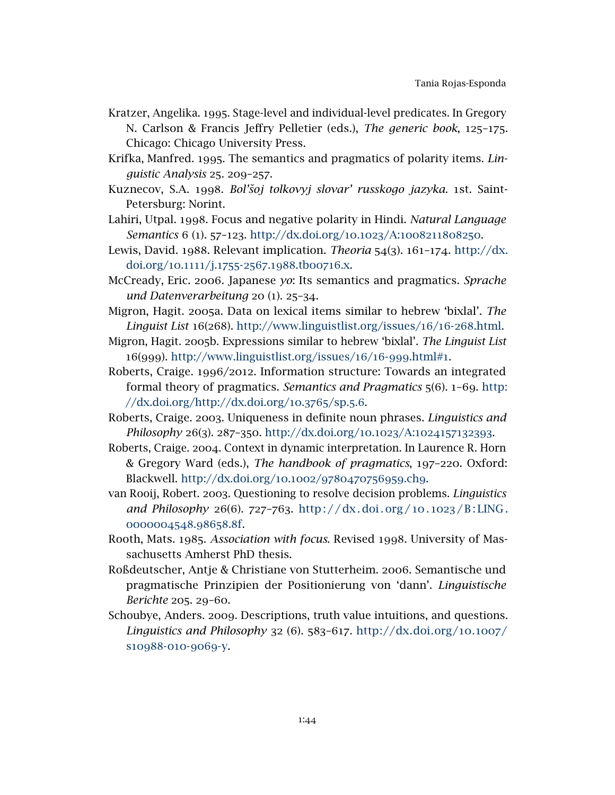- <span id="page-43-14"></span>Kratzer, Angelika. 1995. Stage-level and individual-level predicates. In Gregory N. Carlson & Francis Jeffry Pelletier (eds.), *The generic book*, 125–175. Chicago: Chicago University Press.
- <span id="page-43-6"></span>Krifka, Manfred. 1995. The semantics and pragmatics of polarity items. *Linguistic Analysis* 25. 209–257.
- <span id="page-43-12"></span>Kuznecov, S.A. 1998. *Bol'˘soj tolkovyj slovar' russkogo jazyka*. 1st. Saint-Petersburg: Norint.
- <span id="page-43-7"></span>Lahiri, Utpal. 1998. Focus and negative polarity in Hindi. *Natural Language Semantics* 6 (1). 57–123. [http://dx.doi.org/](http://dx.doi.org/10.1023/A:1008211808250)10.1023/A:1008211808250.
- <span id="page-43-8"></span>Lewis, David. 1988. Relevant implication. *Theoria* 54(3). 161–174. [http://dx.](http://dx.doi.org/10.1111/j.1755-2567.1988.tb00716.x) [doi.org/](http://dx.doi.org/10.1111/j.1755-2567.1988.tb00716.x)10.1111/j.1755-2567.1988.tb00716.x.
- <span id="page-43-5"></span>McCready, Eric. 2006. Japanese *yo*: Its semantics and pragmatics. *Sprache und Datenverarbeitung* 20 (1). 25–34.
- <span id="page-43-10"></span>Migron, Hagit. 2005a. Data on lexical items similar to hebrew 'bixlal'. *The Linguist List* 16(268). [http://www.linguistlist.org/issues/](http://www.linguistlist.org/issues/16/16-268.html)16/16-268.html.
- <span id="page-43-11"></span>Migron, Hagit. 2005b. Expressions similar to hebrew 'bixlal'. *The Linguist List* 16(999). [http://www.linguistlist.org/issues/](http://www.linguistlist.org/issues/16/16-999.html#1)16/16-999.html#1.
- <span id="page-43-0"></span>Roberts, Craige. 1996/2012. Information structure: Towards an integrated formal theory of pragmatics. *Semantics and Pragmatics* 5(6). 1–69. [http:](http://dx.doi.org/http://dx.doi.org/10.3765/sp.5.6) [//dx.doi.org/http://dx.doi.org/](http://dx.doi.org/http://dx.doi.org/10.3765/sp.5.6)10.3765/sp.5.6.
- <span id="page-43-3"></span>Roberts, Craige. 2003. Uniqueness in definite noun phrases. *Linguistics and Philosophy* 26(3). 287–350. [http://dx.doi.org/](http://dx.doi.org/10.1023/A:1024157132393)10.1023/A:1024157132393.
- <span id="page-43-1"></span>Roberts, Craige. 2004. Context in dynamic interpretation. In Laurence R. Horn & Gregory Ward (eds.), *The handbook of pragmatics*, 197–220. Oxford: Blackwell. [http://dx.doi.org/](http://dx.doi.org/10.1002/9780470756959.ch9)10.1002/9780470756959.ch9.
- <span id="page-43-2"></span>van Rooij, Robert. 2003. Questioning to resolve decision problems. *Linguistics and Philosophy* 26(6). 727-763. http://dx.doi.org/10.1023/B:LING. [0000004548](http://dx.doi.org/10.1023/B:LING.0000004548.98658.8f).98658.8f.
- <span id="page-43-13"></span>Rooth, Mats. 1985. *Association with focus*. Revised 1998. University of Massachusetts Amherst PhD thesis.
- <span id="page-43-9"></span>Roßdeutscher, Antje & Christiane von Stutterheim. 2006. Semantische und pragmatische Prinzipien der Positionierung von 'dann'. *Linguistische Berichte* 205. 29–60.
- <span id="page-43-4"></span>Schoubye, Anders. 2009. Descriptions, truth value intuitions, and questions. *Linguistics and Philosophy* 32 (6). 583–617. [http://dx.doi.org/](http://dx.doi.org/10.1007/s10988-010-9069-y)10.1007/ s[10988](http://dx.doi.org/10.1007/s10988-010-9069-y)-010-9069-y.